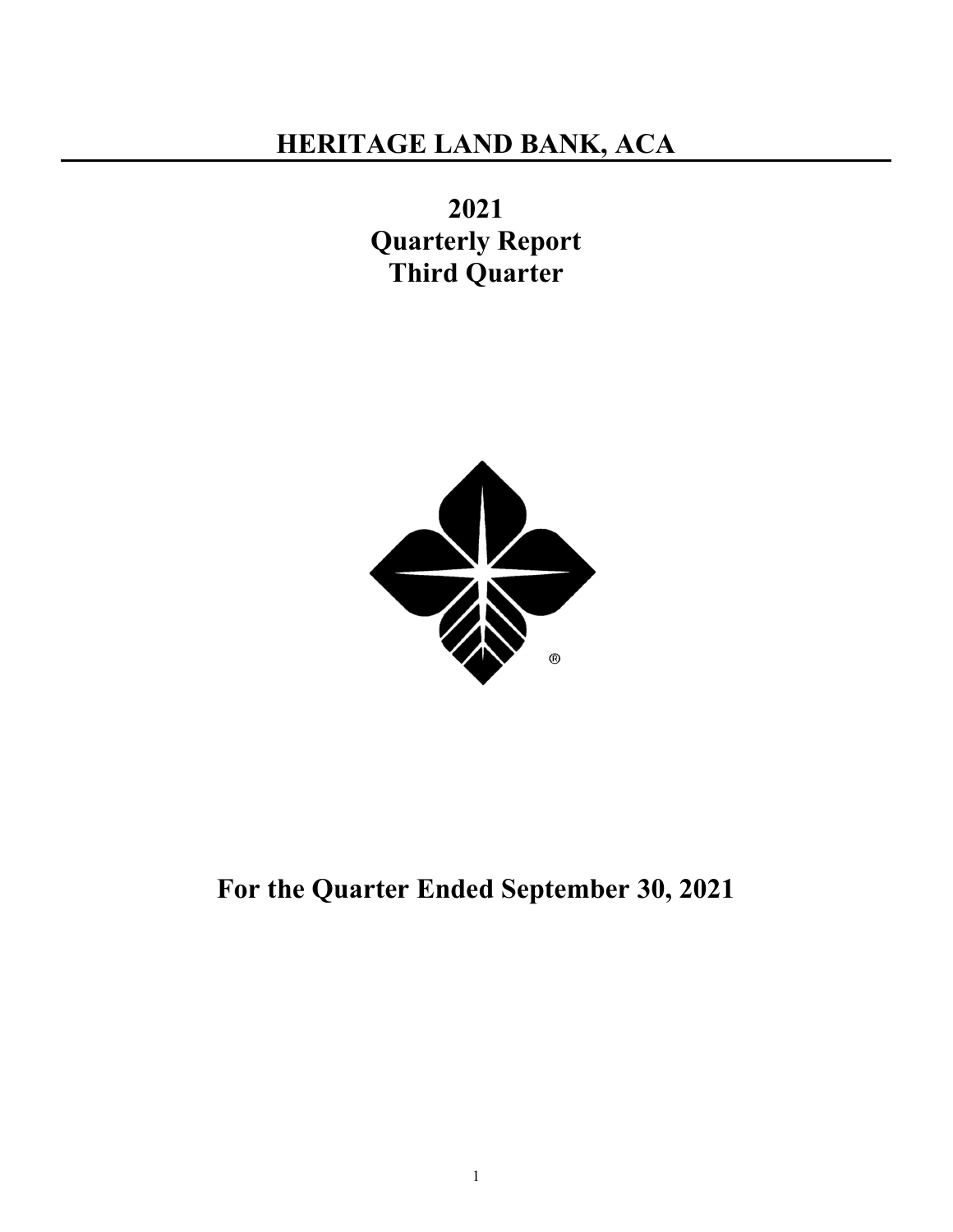2021 Quarterly Report Third Quarter



For the Quarter Ended September 30, 2021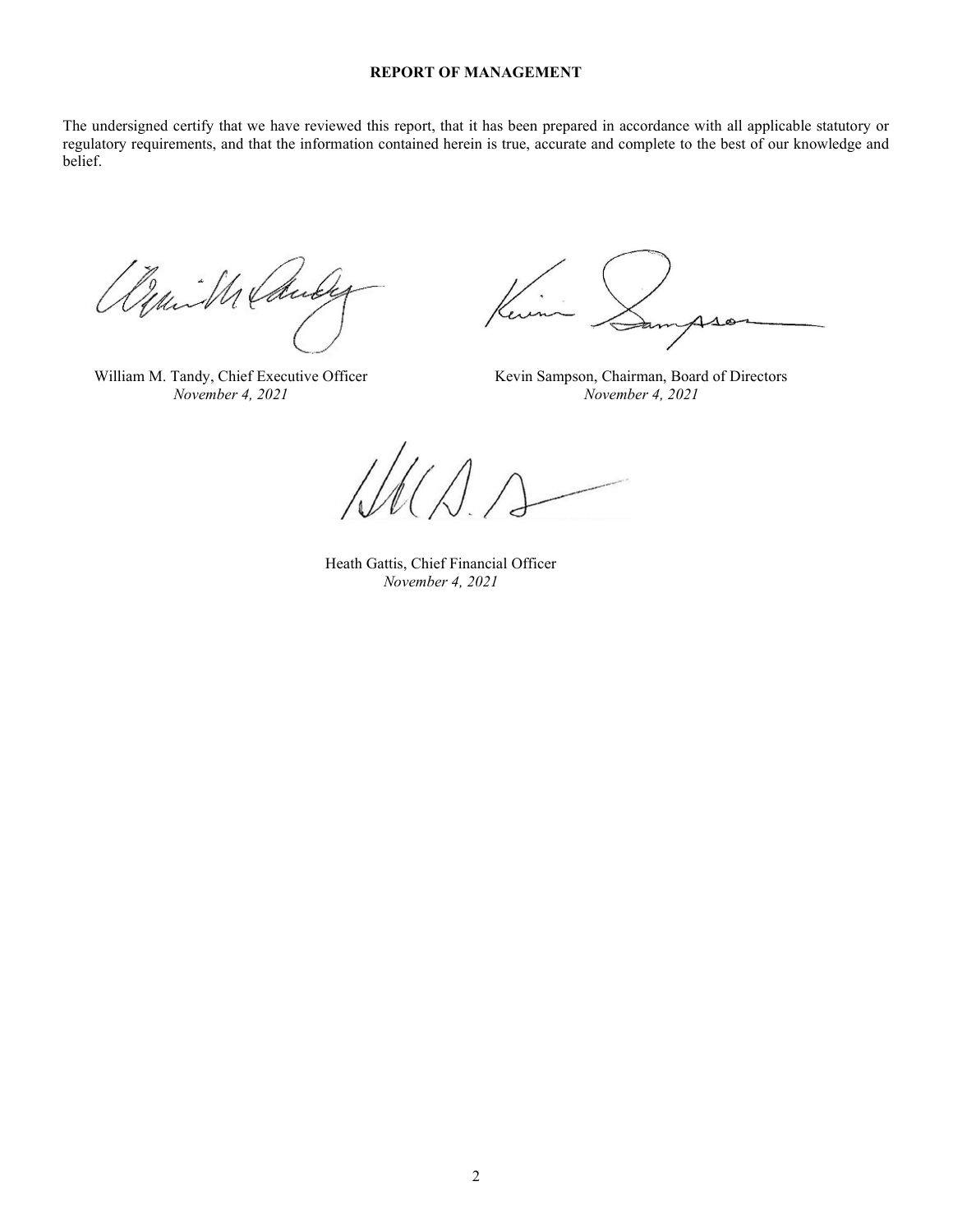## REPORT OF MANAGEMENT

The undersigned certify that we have reviewed this report, that it has been prepared in accordance with all applicable statutory or regulatory requirements, and that the information contained herein is true, accurate and complete to the best of our knowledge and belief.

yui M Laude

William M. Tandy, Chief Executive Officer Kevin Sampson, Chairman, Board of Directors

eun

November 4, 2021 November 4, 2021

 Heath Gattis, Chief Financial Officer November 4, 2021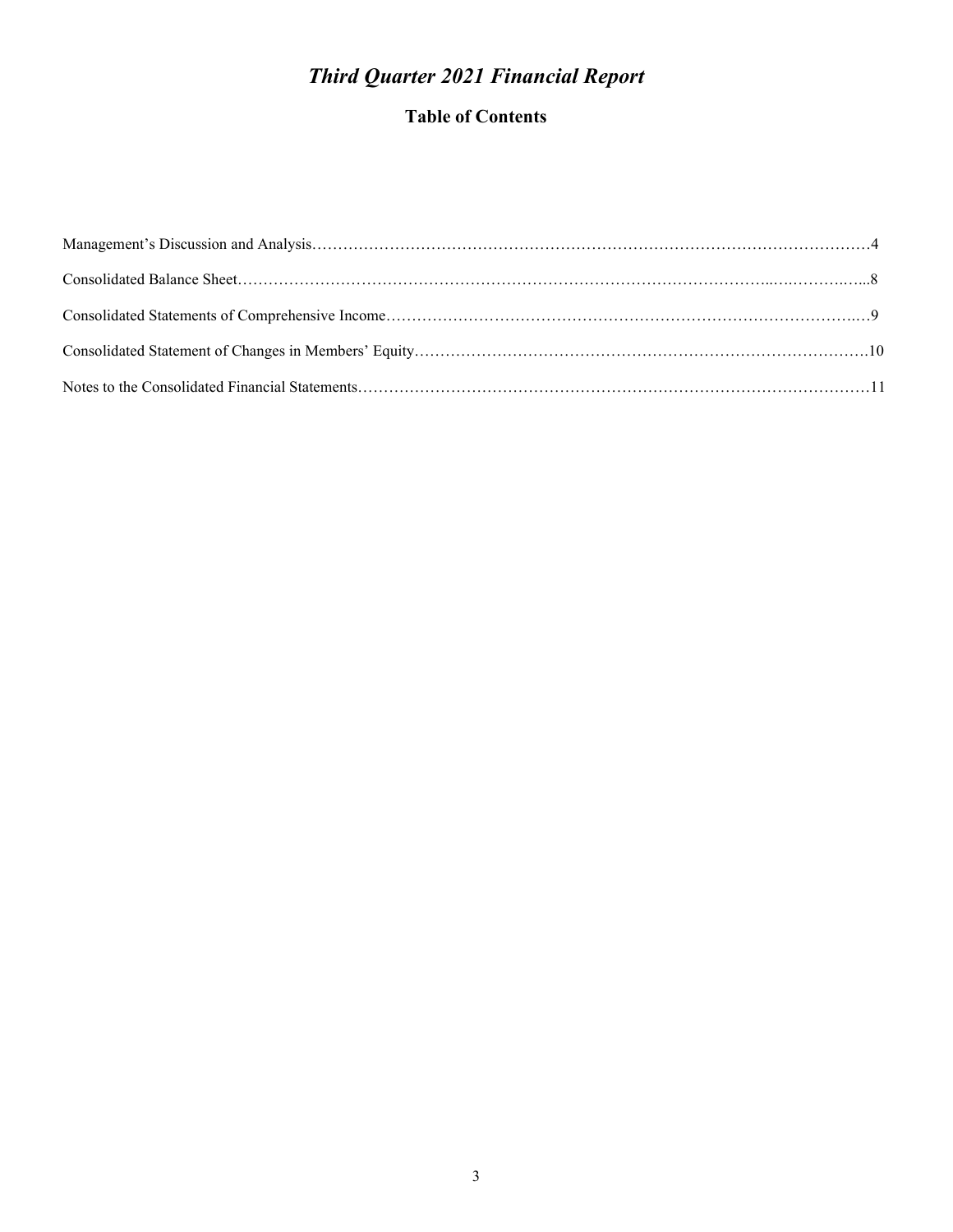# Third Quarter 2021 Financial Report

## Table of Contents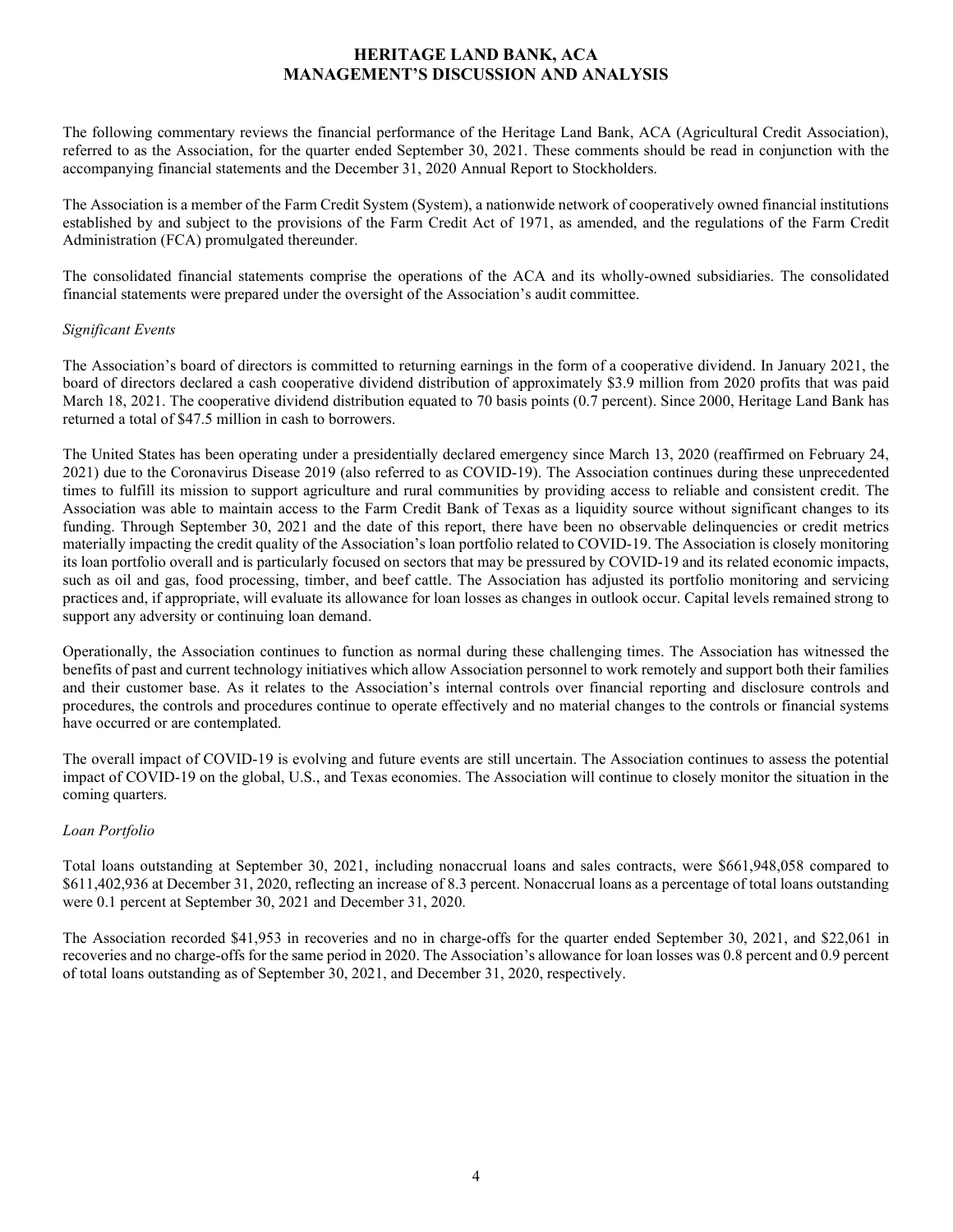## HERITAGE LAND BANK, ACA MANAGEMENT'S DISCUSSION AND ANALYSIS

The following commentary reviews the financial performance of the Heritage Land Bank, ACA (Agricultural Credit Association), referred to as the Association, for the quarter ended September 30, 2021. These comments should be read in conjunction with the accompanying financial statements and the December 31, 2020 Annual Report to Stockholders.

The Association is a member of the Farm Credit System (System), a nationwide network of cooperatively owned financial institutions established by and subject to the provisions of the Farm Credit Act of 1971, as amended, and the regulations of the Farm Credit Administration (FCA) promulgated thereunder.

The consolidated financial statements comprise the operations of the ACA and its wholly-owned subsidiaries. The consolidated financial statements were prepared under the oversight of the Association's audit committee.

## Significant Events

The Association's board of directors is committed to returning earnings in the form of a cooperative dividend. In January 2021, the board of directors declared a cash cooperative dividend distribution of approximately \$3.9 million from 2020 profits that was paid March 18, 2021. The cooperative dividend distribution equated to 70 basis points (0.7 percent). Since 2000, Heritage Land Bank has returned a total of \$47.5 million in cash to borrowers.

The United States has been operating under a presidentially declared emergency since March 13, 2020 (reaffirmed on February 24, 2021) due to the Coronavirus Disease 2019 (also referred to as COVID-19). The Association continues during these unprecedented times to fulfill its mission to support agriculture and rural communities by providing access to reliable and consistent credit. The Association was able to maintain access to the Farm Credit Bank of Texas as a liquidity source without significant changes to its funding. Through September 30, 2021 and the date of this report, there have been no observable delinquencies or credit metrics materially impacting the credit quality of the Association's loan portfolio related to COVID-19. The Association is closely monitoring its loan portfolio overall and is particularly focused on sectors that may be pressured by COVID-19 and its related economic impacts, such as oil and gas, food processing, timber, and beef cattle. The Association has adjusted its portfolio monitoring and servicing practices and, if appropriate, will evaluate its allowance for loan losses as changes in outlook occur. Capital levels remained strong to support any adversity or continuing loan demand.

Operationally, the Association continues to function as normal during these challenging times. The Association has witnessed the benefits of past and current technology initiatives which allow Association personnel to work remotely and support both their families and their customer base. As it relates to the Association's internal controls over financial reporting and disclosure controls and procedures, the controls and procedures continue to operate effectively and no material changes to the controls or financial systems have occurred or are contemplated.

The overall impact of COVID-19 is evolving and future events are still uncertain. The Association continues to assess the potential impact of COVID-19 on the global, U.S., and Texas economies. The Association will continue to closely monitor the situation in the coming quarters.

## Loan Portfolio

Total loans outstanding at September 30, 2021, including nonaccrual loans and sales contracts, were \$661,948,058 compared to \$611,402,936 at December 31, 2020, reflecting an increase of 8.3 percent. Nonaccrual loans as a percentage of total loans outstanding were 0.1 percent at September 30, 2021 and December 31, 2020.

The Association recorded \$41,953 in recoveries and no in charge-offs for the quarter ended September 30, 2021, and \$22,061 in recoveries and no charge-offs for the same period in 2020. The Association's allowance for loan losses was 0.8 percent and 0.9 percent of total loans outstanding as of September 30, 2021, and December 31, 2020, respectively.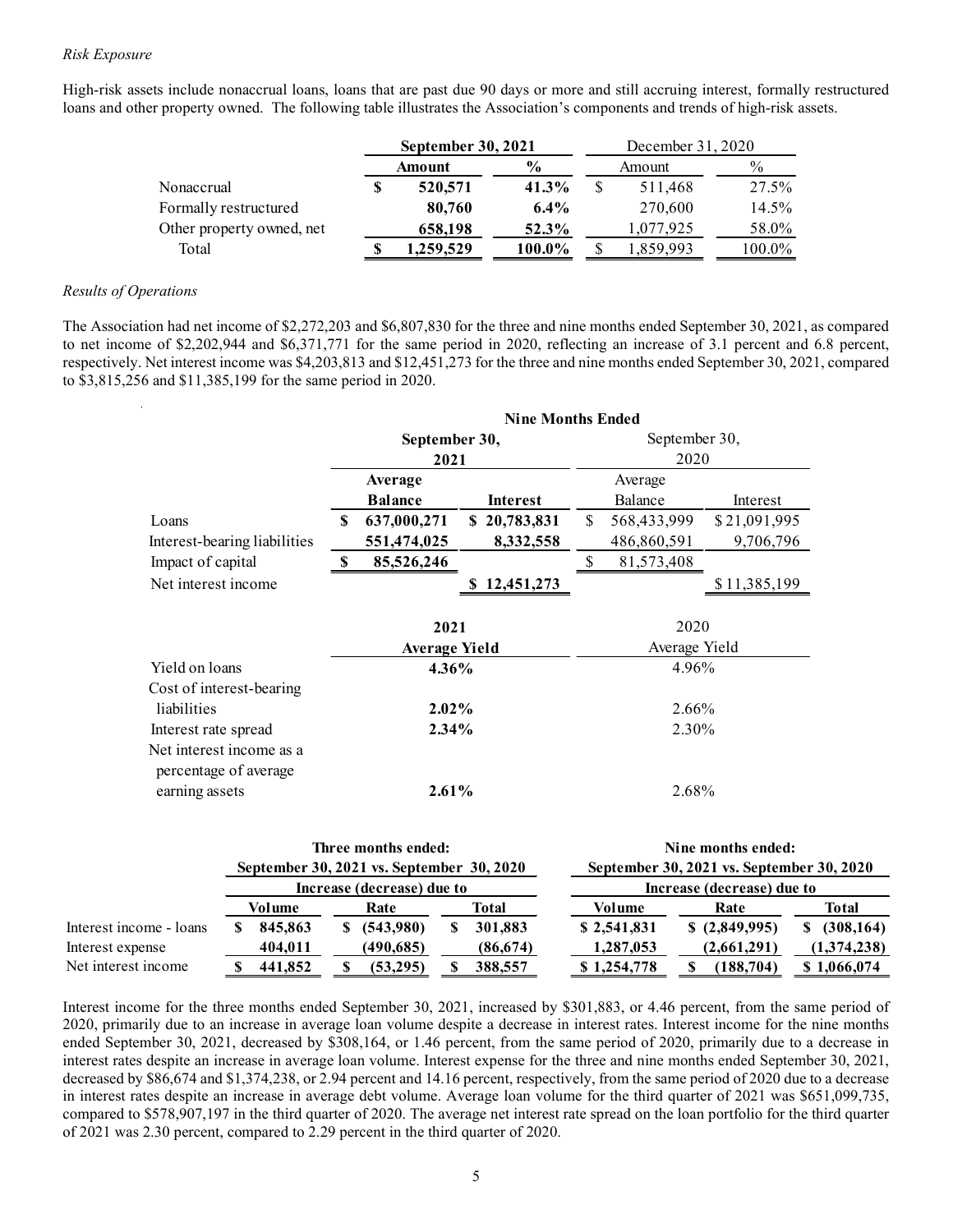#### Risk Exposure

High-risk assets include nonaccrual loans, loans that are past due 90 days or more and still accruing interest, formally restructured loans and other property owned. The following table illustrates the Association's components and trends of high-risk assets.

| s include nonaccrual loans, loans that are past due 90 days or more and still accruing interest, formally restructured<br>property owned. The following table illustrates the Association's components and trends of high-risk assets. |                    |                        |              |                   |                        |  |
|----------------------------------------------------------------------------------------------------------------------------------------------------------------------------------------------------------------------------------------|--------------------|------------------------|--------------|-------------------|------------------------|--|
|                                                                                                                                                                                                                                        |                    |                        |              |                   |                        |  |
|                                                                                                                                                                                                                                        | September 30, 2021 |                        |              | December 31, 2020 |                        |  |
| Nonaccrual                                                                                                                                                                                                                             | Amount             | $\frac{6}{6}$<br>41.3% | $\mathbb{S}$ | Amount<br>511,468 | $\frac{0}{0}$<br>27.5% |  |
| Formally restructured                                                                                                                                                                                                                  | 520,571<br>80,760  | 6.4%                   |              | 270,600           | 14.5%                  |  |
| Other property owned, net                                                                                                                                                                                                              | 658,198            | 52.3%                  |              | 1,077,925         | 58.0%                  |  |
| Total                                                                                                                                                                                                                                  | 1,259,529          | 100.0%                 |              | 1,859,993         | 100.0%                 |  |
|                                                                                                                                                                                                                                        |                    |                        |              |                   |                        |  |

#### Results of Operations

The Association had net income of \$2,272,203 and \$6,807,830 for the three and nine months ended September 30, 2021, as compared to net income of \$2,202,944 and \$6,371,771 for the same period in 2020, reflecting an increase of 3.1 percent and 6.8 percent, respectively. Net interest income was \$4,203,813 and \$12,451,273 for the three and nine months ended September 30, 2021, compared to \$3,815,256 and \$11,385,199 for the same period in 2020.

|                            |                                                                                                                                                                          |                     |                              | September 30, 2021       |              | December 31, 2020              |                                                                 |                            |
|----------------------------|--------------------------------------------------------------------------------------------------------------------------------------------------------------------------|---------------------|------------------------------|--------------------------|--------------|--------------------------------|-----------------------------------------------------------------|----------------------------|
|                            |                                                                                                                                                                          |                     | <b>Amount</b>                | $\frac{0}{0}$            |              | Amount                         | $\frac{0}{0}$                                                   |                            |
| Nonaccrual                 |                                                                                                                                                                          |                     | 520,571                      | 41.3%                    | $\$$         | 511,468                        | 27.5%                                                           |                            |
|                            | Formally restructured                                                                                                                                                    |                     | 80,760                       | 6.4%                     |              | 270,600                        | 14.5%                                                           |                            |
|                            | Other property owned, net                                                                                                                                                |                     | 658,198                      | 52.3%                    |              | 1,077,925                      | 58.0%                                                           |                            |
| Total                      |                                                                                                                                                                          | -8                  | 1,259,529                    | 100.0%                   | -S           | 1,859,993                      | 100.0%                                                          |                            |
| perations                  |                                                                                                                                                                          |                     |                              |                          |              |                                |                                                                 |                            |
|                            |                                                                                                                                                                          |                     |                              |                          |              |                                |                                                                 |                            |
|                            | ion had net income of \$2,272,203 and \$6,807,830 for the three and nine months ended September 30, 2021, as compared                                                    |                     |                              |                          |              |                                |                                                                 |                            |
|                            | e of \$2,202,944 and \$6,371,771 for the same period in 2020, reflecting an increase of 3.1 percent and 6.8 percent,                                                     |                     |                              |                          |              |                                |                                                                 |                            |
|                            | Net interest income was \$4,203,813 and \$12,451,273 for the three and nine months ended September 30, 2021, compared<br>6 and \$11,385,199 for the same period in 2020. |                     |                              |                          |              |                                |                                                                 |                            |
|                            |                                                                                                                                                                          |                     |                              |                          |              |                                |                                                                 |                            |
|                            |                                                                                                                                                                          |                     |                              | <b>Nine Months Ended</b> |              |                                |                                                                 |                            |
|                            |                                                                                                                                                                          |                     | September 30,                |                          |              | September 30,                  |                                                                 |                            |
|                            |                                                                                                                                                                          |                     | 2021                         |                          |              | 2020                           |                                                                 |                            |
|                            |                                                                                                                                                                          |                     | Average                      |                          |              | Average                        |                                                                 |                            |
|                            |                                                                                                                                                                          |                     | <b>Balance</b>               | Interest                 |              | Balance                        | Interest                                                        |                            |
| Loans                      |                                                                                                                                                                          |                     | 637,000,271                  | \$20,783,831             | \$           | 568,433,999                    | \$21,091,995                                                    |                            |
|                            | Interest-bearing liabilities                                                                                                                                             |                     | 551,474,025                  | 8,332,558                |              | 486,860,591                    | 9,706,796                                                       |                            |
| Impact of capital          |                                                                                                                                                                          | -S                  | 85,526,246                   |                          | $\mathbb{S}$ | 81,573,408                     |                                                                 |                            |
| Net interest income        |                                                                                                                                                                          |                     |                              | \$12,451,273             |              |                                | \$11,385,199                                                    |                            |
|                            |                                                                                                                                                                          |                     |                              |                          |              |                                |                                                                 |                            |
|                            |                                                                                                                                                                          |                     | 2021                         |                          |              | 2020                           |                                                                 |                            |
|                            |                                                                                                                                                                          |                     | <b>Average Yield</b>         |                          |              | Average Yield                  |                                                                 |                            |
| Yield on loans             |                                                                                                                                                                          |                     | 4.36%                        |                          |              | 4.96%                          |                                                                 |                            |
|                            | Cost of interest-bearing                                                                                                                                                 |                     |                              |                          |              |                                |                                                                 |                            |
| liabilities                |                                                                                                                                                                          |                     | 2.02%                        |                          |              | 2.66%                          |                                                                 |                            |
| Interest rate spread       |                                                                                                                                                                          |                     | 2.34%                        |                          |              | 2.30%                          |                                                                 |                            |
|                            | Net interest income as a                                                                                                                                                 |                     |                              |                          |              |                                |                                                                 |                            |
|                            | percentage of average                                                                                                                                                    |                     |                              |                          |              |                                |                                                                 |                            |
| earning assets             |                                                                                                                                                                          |                     | 2.61%                        |                          |              | 2.68%                          |                                                                 |                            |
|                            |                                                                                                                                                                          | Three months ended: |                              |                          |              |                                |                                                                 |                            |
|                            | September 30, 2021 vs. September 30, 2020                                                                                                                                |                     |                              |                          |              |                                | Nine months ended:<br>September 30, 2021 vs. September 30, 2020 |                            |
|                            |                                                                                                                                                                          |                     | Increase (decrease) due to   |                          |              |                                | Increase (decrease) due to                                      |                            |
|                            | <b>Volume</b>                                                                                                                                                            | Rate                |                              | <b>Total</b>             |              | <b>Volume</b>                  | Rate                                                            | <b>Total</b>               |
|                            | 845,863<br>\$                                                                                                                                                            | \$ (543,980)        | \$                           | 301,883                  |              | \$2,541,831                    | \$(2,849,995)                                                   | \$ (308, 164)              |
|                            |                                                                                                                                                                          |                     |                              |                          |              |                                | (2,661,291)                                                     |                            |
| me - loans                 |                                                                                                                                                                          |                     |                              |                          |              |                                |                                                                 |                            |
| nse:<br><sub>1</sub> ncome | 404,011<br>441,852<br>-SS                                                                                                                                                | S,                  | (490, 685)<br>(53,295)<br>S, | (86, 674)<br>388,557     |              | 1,287,053<br>\$1,254,778<br>S, | (188, 704)                                                      | (1,374,238)<br>\$1,066,074 |

|                         |         | Three months ended:                       |              |             | Nine months ended:                        |              |
|-------------------------|---------|-------------------------------------------|--------------|-------------|-------------------------------------------|--------------|
|                         |         | September 30, 2021 vs. September 30, 2020 |              |             | September 30, 2021 vs. September 30, 2020 |              |
|                         |         | Increase (decrease) due to                |              |             | Increase (decrease) due to                |              |
|                         | Volume  | Rate                                      | <b>Total</b> | Volume      | Rate                                      | <b>Total</b> |
| Interest income - loans | 845,863 | \$(543,980)                               | 301,883      | \$2,541,831 | \$(2,849,995)                             | (308, 164)   |
| Interest expense        | 404.011 | (490, 685)                                | (86, 674)    | 1,287,053   | (2,661,291)                               | (1,374,238)  |
| Net interest income     | 441,852 | (53,295)                                  | 388,557      | \$1,254,778 | (188, 704)                                | \$1,066,074  |

Interest income for the three months ended September 30, 2021, increased by \$301,883, or 4.46 percent, from the same period of 2020, primarily due to an increase in average loan volume despite a decrease in interest rates. Interest income for the nine months ended September 30, 2021, decreased by \$308,164, or 1.46 percent, from the same period of 2020, primarily due to a decrease in interest rates despite an increase in average loan volume. Interest expense for the three and nine months ended September 30, 2021, decreased by \$86,674 and \$1,374,238, or 2.94 percent and 14.16 percent, respectively, from the same period of 2020 due to a decrease in interest rates despite an increase in average debt volume. Average loan volume for the third quarter of 2021 was \$651,099,735, compared to \$578,907,197 in the third quarter of 2020. The average net interest rate spread on the loan portfolio for the third quarter of 2021 was 2.30 percent, compared to 2.29 percent in the third quarter of 2020.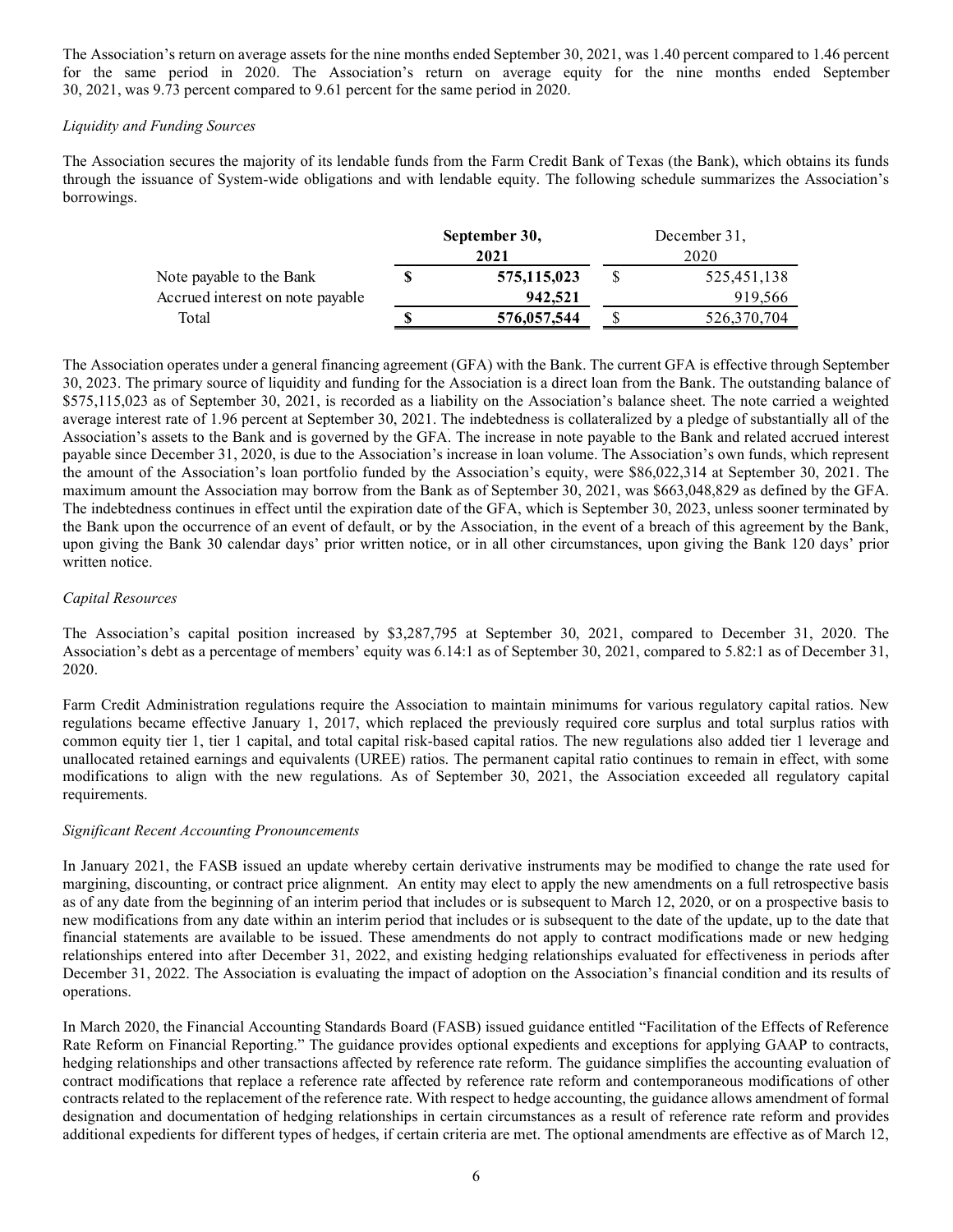The Association's return on average assets for the nine months ended September 30, 2021, was 1.40 percent compared to 1.46 percent for the same period in 2020. The Association's return on average equity for the nine months ended September 30, 2021, was 9.73 percent compared to 9.61 percent for the same period in 2020.

#### Liquidity and Funding Sources

The Association secures the majority of its lendable funds from the Farm Credit Bank of Texas (the Bank), which obtains its funds through the issuance of System-wide obligations and with lendable equity. The following schedule summarizes the Association's borrowings.

|                                  | September 30, | December 31, |
|----------------------------------|---------------|--------------|
|                                  | 2021          | 2020         |
| Note payable to the Bank         | 575,115,023   | 525,451,138  |
| Accrued interest on note payable | 942.521       | 919.566      |
| Total                            | 576,057,544   | 526,370,704  |

The Association operates under a general financing agreement (GFA) with the Bank. The current GFA is effective through September 30, 2023. The primary source of liquidity and funding for the Association is a direct loan from the Bank. The outstanding balance of \$575,115,023 as of September 30, 2021, is recorded as a liability on the Association's balance sheet. The note carried a weighted average interest rate of 1.96 percent at September 30, 2021. The indebtedness is collateralized by a pledge of substantially all of the Association's assets to the Bank and is governed by the GFA. The increase in note payable to the Bank and related accrued interest payable since December 31, 2020, is due to the Association's increase in loan volume. The Association's own funds, which represent the amount of the Association's loan portfolio funded by the Association's equity, were \$86,022,314 at September 30, 2021. The maximum amount the Association may borrow from the Bank as of September 30, 2021, was \$663,048,829 as defined by the GFA. The indebtedness continues in effect until the expiration date of the GFA, which is September 30, 2023, unless sooner terminated by the Bank upon the occurrence of an event of default, or by the Association, in the event of a breach of this agreement by the Bank, upon giving the Bank 30 calendar days' prior written notice, or in all other circumstances, upon giving the Bank 120 days' prior written notice.

## Capital Resources

The Association's capital position increased by \$3,287,795 at September 30, 2021, compared to December 31, 2020. The Association's debt as a percentage of members' equity was 6.14:1 as of September 30, 2021, compared to 5.82:1 as of December 31, 2020.

Farm Credit Administration regulations require the Association to maintain minimums for various regulatory capital ratios. New regulations became effective January 1, 2017, which replaced the previously required core surplus and total surplus ratios with common equity tier 1, tier 1 capital, and total capital risk-based capital ratios. The new regulations also added tier 1 leverage and unallocated retained earnings and equivalents (UREE) ratios. The permanent capital ratio continues to remain in effect, with some modifications to align with the new regulations. As of September 30, 2021, the Association exceeded all regulatory capital requirements.

#### Significant Recent Accounting Pronouncements

In January 2021, the FASB issued an update whereby certain derivative instruments may be modified to change the rate used for margining, discounting, or contract price alignment. An entity may elect to apply the new amendments on a full retrospective basis as of any date from the beginning of an interim period that includes or is subsequent to March 12, 2020, or on a prospective basis to new modifications from any date within an interim period that includes or is subsequent to the date of the update, up to the date that financial statements are available to be issued. These amendments do not apply to contract modifications made or new hedging relationships entered into after December 31, 2022, and existing hedging relationships evaluated for effectiveness in periods after December 31, 2022. The Association is evaluating the impact of adoption on the Association's financial condition and its results of operations.

In March 2020, the Financial Accounting Standards Board (FASB) issued guidance entitled "Facilitation of the Effects of Reference Rate Reform on Financial Reporting." The guidance provides optional expedients and exceptions for applying GAAP to contracts, hedging relationships and other transactions affected by reference rate reform. The guidance simplifies the accounting evaluation of contract modifications that replace a reference rate affected by reference rate reform and contemporaneous modifications of other contracts related to the replacement of the reference rate. With respect to hedge accounting, the guidance allows amendment of formal designation and documentation of hedging relationships in certain circumstances as a result of reference rate reform and provides additional expedients for different types of hedges, if certain criteria are met. The optional amendments are effective as of March 12,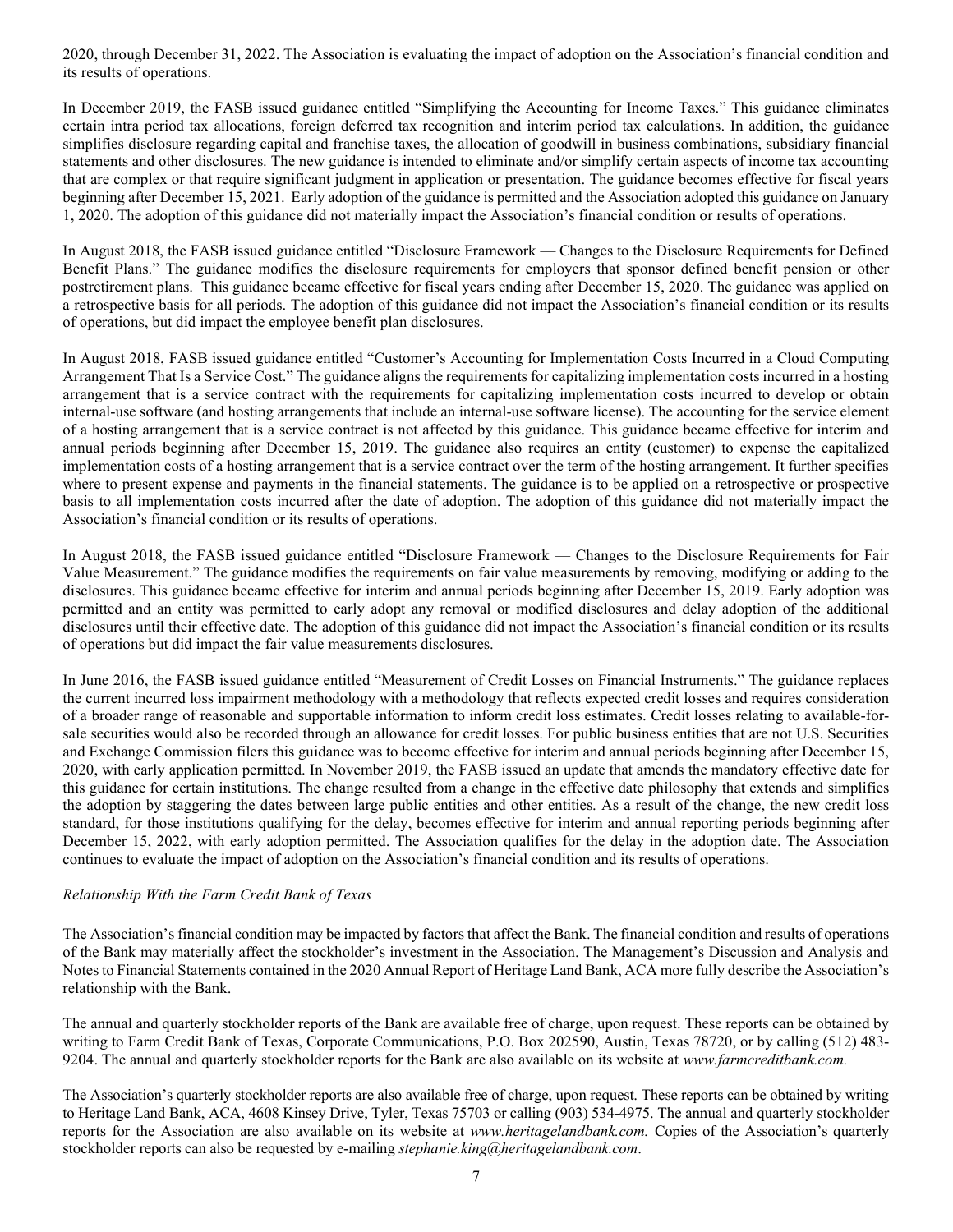2020, through December 31, 2022. The Association is evaluating the impact of adoption on the Association's financial condition and its results of operations.

In December 2019, the FASB issued guidance entitled "Simplifying the Accounting for Income Taxes." This guidance eliminates certain intra period tax allocations, foreign deferred tax recognition and interim period tax calculations. In addition, the guidance simplifies disclosure regarding capital and franchise taxes, the allocation of goodwill in business combinations, subsidiary financial statements and other disclosures. The new guidance is intended to eliminate and/or simplify certain aspects of income tax accounting that are complex or that require significant judgment in application or presentation. The guidance becomes effective for fiscal years beginning after December 15, 2021. Early adoption of the guidance is permitted and the Association adopted this guidance on January 1, 2020. The adoption of this guidance did not materially impact the Association's financial condition or results of operations.

In August 2018, the FASB issued guidance entitled "Disclosure Framework — Changes to the Disclosure Requirements for Defined Benefit Plans." The guidance modifies the disclosure requirements for employers that sponsor defined benefit pension or other postretirement plans. This guidance became effective for fiscal years ending after December 15, 2020. The guidance was applied on a retrospective basis for all periods. The adoption of this guidance did not impact the Association's financial condition or its results of operations, but did impact the employee benefit plan disclosures.

In August 2018, FASB issued guidance entitled "Customer's Accounting for Implementation Costs Incurred in a Cloud Computing Arrangement That Is a Service Cost." The guidance aligns the requirements for capitalizing implementation costs incurred in a hosting arrangement that is a service contract with the requirements for capitalizing implementation costs incurred to develop or obtain internal-use software (and hosting arrangements that include an internal-use software license). The accounting for the service element of a hosting arrangement that is a service contract is not affected by this guidance. This guidance became effective for interim and annual periods beginning after December 15, 2019. The guidance also requires an entity (customer) to expense the capitalized implementation costs of a hosting arrangement that is a service contract over the term of the hosting arrangement. It further specifies where to present expense and payments in the financial statements. The guidance is to be applied on a retrospective or prospective basis to all implementation costs incurred after the date of adoption. The adoption of this guidance did not materially impact the Association's financial condition or its results of operations.

In August 2018, the FASB issued guidance entitled "Disclosure Framework — Changes to the Disclosure Requirements for Fair Value Measurement." The guidance modifies the requirements on fair value measurements by removing, modifying or adding to the disclosures. This guidance became effective for interim and annual periods beginning after December 15, 2019. Early adoption was permitted and an entity was permitted to early adopt any removal or modified disclosures and delay adoption of the additional disclosures until their effective date. The adoption of this guidance did not impact the Association's financial condition or its results of operations but did impact the fair value measurements disclosures.

In June 2016, the FASB issued guidance entitled "Measurement of Credit Losses on Financial Instruments." The guidance replaces the current incurred loss impairment methodology with a methodology that reflects expected credit losses and requires consideration of a broader range of reasonable and supportable information to inform credit loss estimates. Credit losses relating to available-forsale securities would also be recorded through an allowance for credit losses. For public business entities that are not U.S. Securities and Exchange Commission filers this guidance was to become effective for interim and annual periods beginning after December 15, 2020, with early application permitted. In November 2019, the FASB issued an update that amends the mandatory effective date for this guidance for certain institutions. The change resulted from a change in the effective date philosophy that extends and simplifies the adoption by staggering the dates between large public entities and other entities. As a result of the change, the new credit loss standard, for those institutions qualifying for the delay, becomes effective for interim and annual reporting periods beginning after December 15, 2022, with early adoption permitted. The Association qualifies for the delay in the adoption date. The Association continues to evaluate the impact of adoption on the Association's financial condition and its results of operations.

## Relationship With the Farm Credit Bank of Texas

The Association's financial condition may be impacted by factors that affect the Bank. The financial condition and results of operations of the Bank may materially affect the stockholder's investment in the Association. The Management's Discussion and Analysis and Notes to Financial Statements contained in the 2020 Annual Report of Heritage Land Bank, ACA more fully describe the Association's relationship with the Bank.

The annual and quarterly stockholder reports of the Bank are available free of charge, upon request. These reports can be obtained by writing to Farm Credit Bank of Texas, Corporate Communications, P.O. Box 202590, Austin, Texas 78720, or by calling (512) 483- 9204. The annual and quarterly stockholder reports for the Bank are also available on its website at www.farmcreditbank.com.

The Association's quarterly stockholder reports are also available free of charge, upon request. These reports can be obtained by writing to Heritage Land Bank, ACA, 4608 Kinsey Drive, Tyler, Texas 75703 or calling (903) 534-4975. The annual and quarterly stockholder reports for the Association are also available on its website at www.heritagelandbank.com. Copies of the Association's quarterly stockholder reports can also be requested by e-mailing *stephanie.king@heritagelandbank.com.*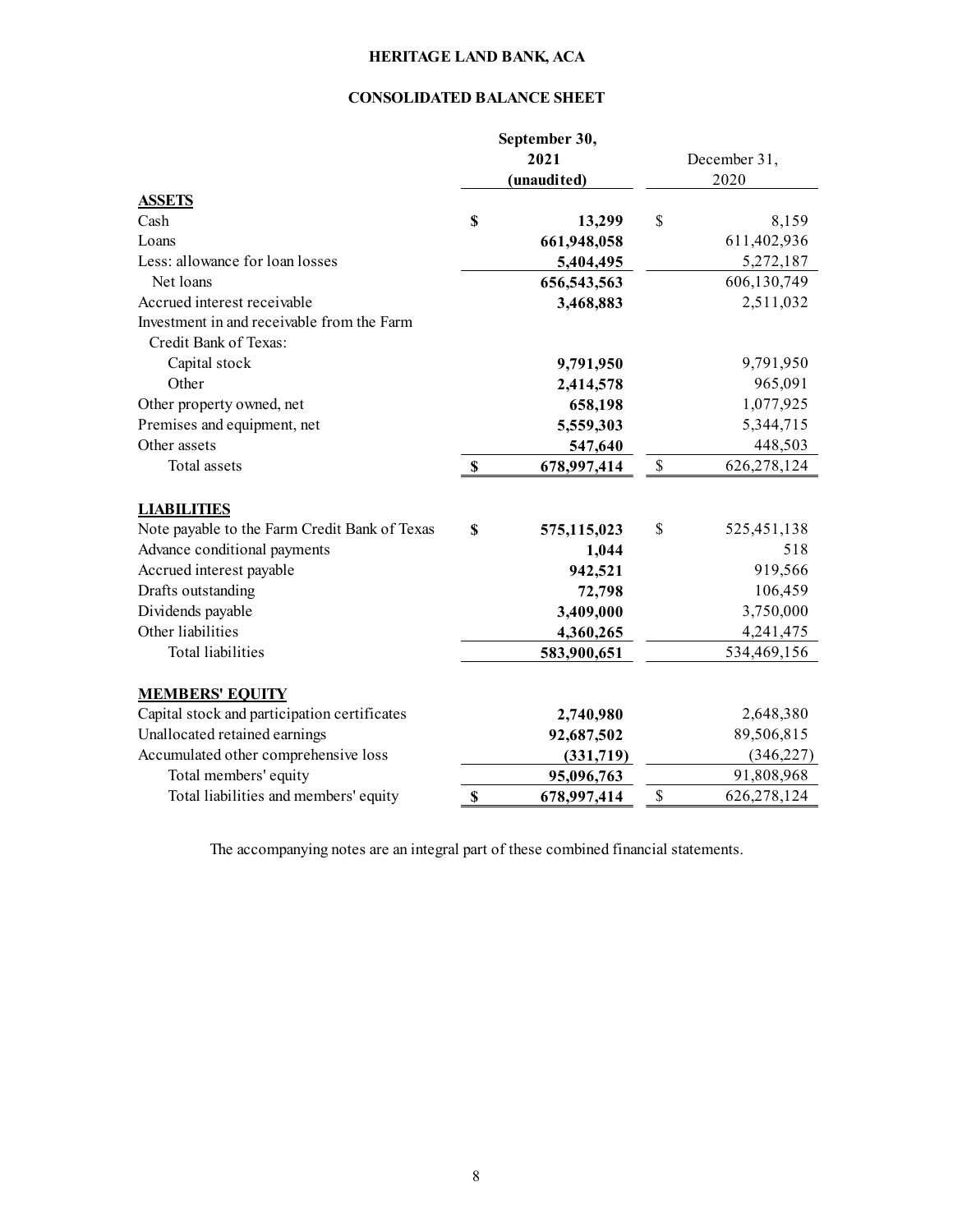## CONSOLIDATED BALANCE SHEET

|                                                                     |                           | September 30,<br>2021<br>(unaudited) |               | December 31,<br>2020 |
|---------------------------------------------------------------------|---------------------------|--------------------------------------|---------------|----------------------|
| <b>ASSETS</b>                                                       |                           |                                      |               |                      |
| Cash                                                                | \$                        | 13,299                               | \$            | 8,159                |
| Loans                                                               |                           | 661,948,058                          |               | 611,402,936          |
| Less: allowance for loan losses                                     |                           | 5,404,495                            |               | 5,272,187            |
| Net loans                                                           |                           | 656,543,563                          |               | 606,130,749          |
| Accrued interest receivable                                         |                           | 3,468,883                            |               | 2,511,032            |
| Investment in and receivable from the Farm<br>Credit Bank of Texas: |                           |                                      |               |                      |
| Capital stock                                                       |                           | 9,791,950                            |               | 9,791,950            |
| Other                                                               |                           | 2,414,578                            |               | 965,091              |
| Other property owned, net                                           |                           | 658,198                              |               | 1,077,925            |
| Premises and equipment, net                                         |                           | 5,559,303                            |               | 5,344,715            |
| Other assets                                                        |                           | 547,640                              |               | 448,503              |
| Total assets                                                        | S                         | 678,997,414                          | $\mathcal{S}$ | 626,278,124          |
| <b>LIABILITIES</b>                                                  |                           |                                      |               |                      |
| Note payable to the Farm Credit Bank of Texas                       | \$                        | 575,115,023                          | \$            | 525,451,138          |
| Advance conditional payments                                        |                           | 1,044                                |               | 518                  |
| Accrued interest payable                                            |                           | 942,521                              |               | 919,566              |
| Drafts outstanding                                                  |                           | 72,798                               |               | 106,459              |
| Dividends payable                                                   |                           | 3,409,000                            |               | 3,750,000            |
| Other liabilities                                                   |                           | 4,360,265                            |               | 4,241,475            |
| <b>Total liabilities</b>                                            |                           | 583,900,651                          |               | 534,469,156          |
| <b>MEMBERS' EQUITY</b>                                              |                           |                                      |               |                      |
| Capital stock and participation certificates                        |                           | 2,740,980                            |               | 2,648,380            |
| Unallocated retained earnings                                       |                           | 92,687,502                           |               | 89,506,815           |
| Accumulated other comprehensive loss                                |                           | (331,719)                            |               | (346, 227)           |
| Total members' equity                                               |                           | 95,096,763                           |               | 91,808,968           |
| Total liabilities and members' equity                               | $\boldsymbol{\mathsf{S}}$ | 678,997,414                          | \$            | 626,278,124          |

The accompanying notes are an integral part of these combined financial statements.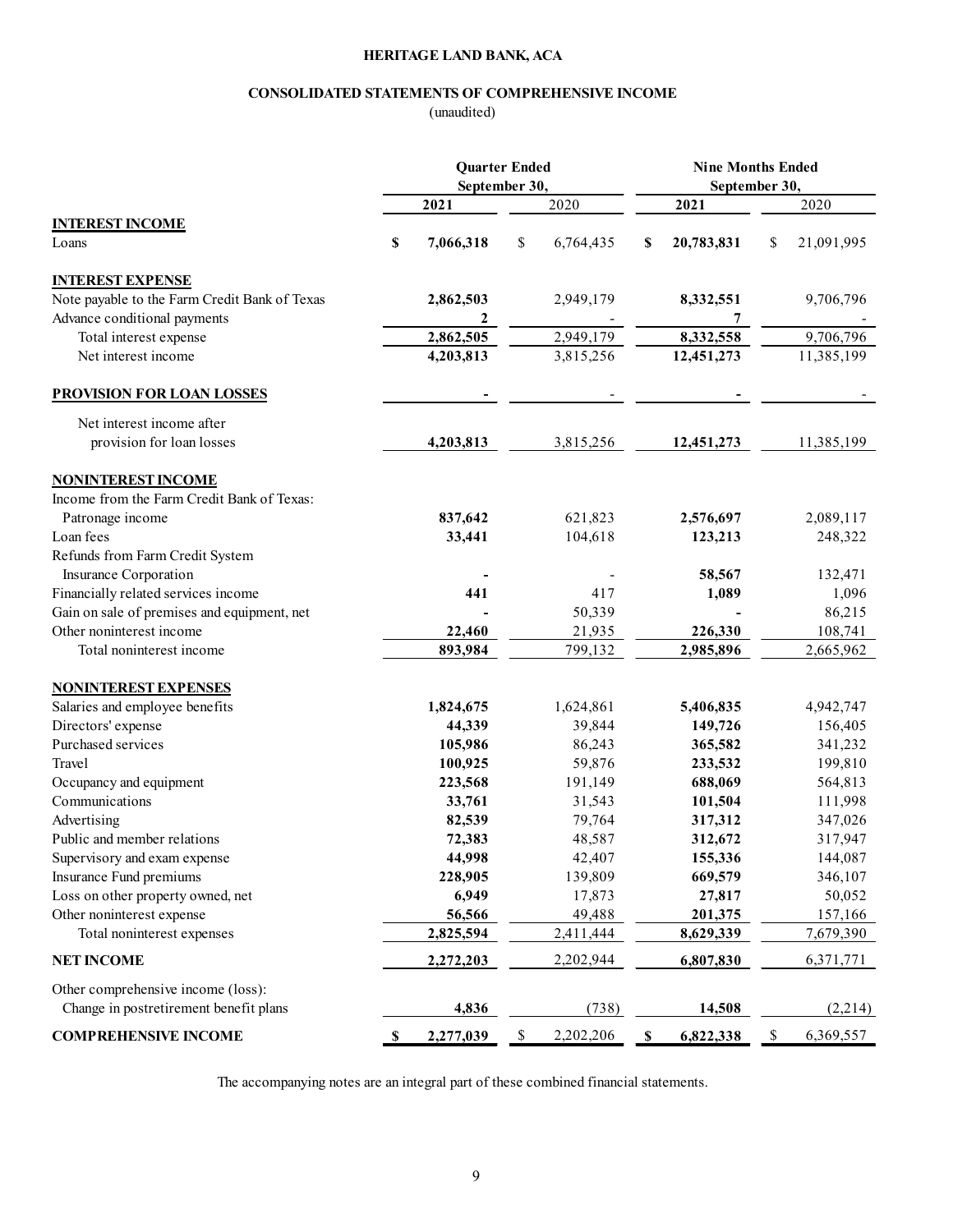## CONSOLIDATED STATEMENTS OF COMPREHENSIVE INCOME

| <b>CONSOLIDATED STATEMENTS OF COMPREHENSIVE INCOME</b>                             |      | HERITAGE LAND BANK, ACA |     |                                       |    |                          |    |                    |
|------------------------------------------------------------------------------------|------|-------------------------|-----|---------------------------------------|----|--------------------------|----|--------------------|
|                                                                                    |      |                         |     |                                       |    |                          |    |                    |
|                                                                                    |      |                         |     |                                       |    |                          |    |                    |
|                                                                                    |      |                         |     |                                       |    |                          |    |                    |
|                                                                                    |      | (unaudited)             |     |                                       |    |                          |    |                    |
|                                                                                    |      |                         |     |                                       |    |                          |    |                    |
|                                                                                    |      |                         |     |                                       |    |                          |    |                    |
|                                                                                    |      | <b>Quarter Ended</b>    |     |                                       |    | <b>Nine Months Ended</b> |    |                    |
|                                                                                    |      | September 30,<br>2021   |     | 2020                                  |    | September 30,<br>2021    |    | 2020               |
| <b>INTEREST INCOME</b>                                                             |      |                         |     |                                       |    |                          |    |                    |
| Loans                                                                              | \$   | 7,066,318               | \$  | 6,764,435                             | S  | 20,783,831               | S  | 21,091,995         |
|                                                                                    |      |                         |     |                                       |    |                          |    |                    |
| <b>INTEREST EXPENSE</b>                                                            |      |                         |     |                                       |    |                          |    |                    |
| Note payable to the Farm Credit Bank of Texas<br>Advance conditional payments      |      | 2,862,503<br>2          |     | 2,949,179<br>$\overline{\phantom{a}}$ |    | 8,332,551<br>7           |    | 9,706,796          |
| Total interest expense                                                             |      | 2,862,505               |     | 2,949,179                             |    | 8,332,558                |    | 9,706,796          |
| Net interest income                                                                |      | 4,203,813               |     | 3,815,256                             |    | 12,451,273               |    | 11,385,199         |
|                                                                                    |      |                         |     |                                       |    |                          |    |                    |
| <b>PROVISION FOR LOAN LOSSES</b>                                                   |      |                         |     |                                       |    |                          |    |                    |
| Net interest income after                                                          |      |                         |     |                                       |    |                          |    |                    |
| provision for loan losses                                                          |      | 4,203,813               |     | 3,815,256                             |    | 12,451,273               |    | 11,385,199         |
| <b>NONINTEREST INCOME</b>                                                          |      |                         |     |                                       |    |                          |    |                    |
| Income from the Farm Credit Bank of Texas:                                         |      |                         |     |                                       |    |                          |    |                    |
| Patronage income                                                                   |      | 837,642                 |     | 621,823                               |    | 2,576,697                |    | 2,089,117          |
| Loan fees                                                                          |      | 33,441                  |     | 104,618                               |    | 123,213                  |    | 248,322            |
| Refunds from Farm Credit System                                                    |      |                         |     |                                       |    |                          |    |                    |
| Insurance Corporation                                                              |      |                         |     | 417                                   |    | 58,567                   |    | 132,471            |
| Financially related services income<br>Gain on sale of premises and equipment, net |      | 441                     |     | 50,339                                |    | 1,089                    |    | 1,096<br>86,215    |
| Other noninterest income                                                           |      | 22,460                  |     | 21,935                                |    | 226,330                  |    | 108,741            |
| Total noninterest income                                                           |      | 893,984                 |     | 799,132                               |    | 2,985,896                |    | 2,665,962          |
|                                                                                    |      |                         |     |                                       |    |                          |    |                    |
| <b>NONINTEREST EXPENSES</b>                                                        |      |                         |     |                                       |    |                          |    |                    |
| Salaries and employee benefits<br>Directors' expense                               |      | 1,824,675<br>44,339     |     | 1,624,861<br>39,844                   |    | 5,406,835                |    | 4,942,747          |
| Purchased services                                                                 |      | 105,986                 |     | 86,243                                |    | 149,726<br>365,582       |    | 156,405<br>341,232 |
| Travel                                                                             |      | 100,925                 |     | 59,876                                |    | 233,532                  |    | 199,810            |
| Occupancy and equipment                                                            |      | 223,568                 |     | 191,149                               |    | 688,069                  |    | 564,813            |
| Communications                                                                     |      | 33,761                  |     | 31,543                                |    | 101,504                  |    | 111,998            |
| Advertising                                                                        |      | 82,539                  |     | 79,764                                |    | 317,312                  |    | 347,026            |
| Public and member relations                                                        |      | 72,383                  |     | 48,587                                |    | 312,672                  |    | 317,947            |
| Supervisory and exam expense                                                       |      | 44,998                  |     | 42,407                                |    | 155,336                  |    | 144,087            |
| Insurance Fund premiums                                                            |      | 228,905                 |     | 139,809                               |    | 669,579                  |    | 346,107            |
| Loss on other property owned, net                                                  |      | 6,949                   |     | 17,873                                |    | 27,817                   |    | 50,052             |
| Other noninterest expense                                                          |      | 56,566                  |     | 49,488                                |    | 201,375                  |    | 157,166            |
| Total noninterest expenses                                                         |      | 2,825,594               |     | 2,411,444                             |    | 8,629,339                |    | 7,679,390          |
| <b>NET INCOME</b>                                                                  |      | 2,272,203               |     | 2,202,944                             |    | 6,807,830                |    | 6,371,771          |
| Other comprehensive income (loss):                                                 |      |                         |     |                                       |    |                          |    |                    |
| Change in postretirement benefit plans                                             |      | 4,836                   |     | (738)                                 |    | 14,508                   |    | (2,214)            |
| <b>COMPREHENSIVE INCOME</b>                                                        |      | 2,277,039               | -\$ | 2,202,206                             | -S | 6,822,338                | -S | 6,369,557          |
|                                                                                    | - 56 |                         |     |                                       |    |                          |    |                    |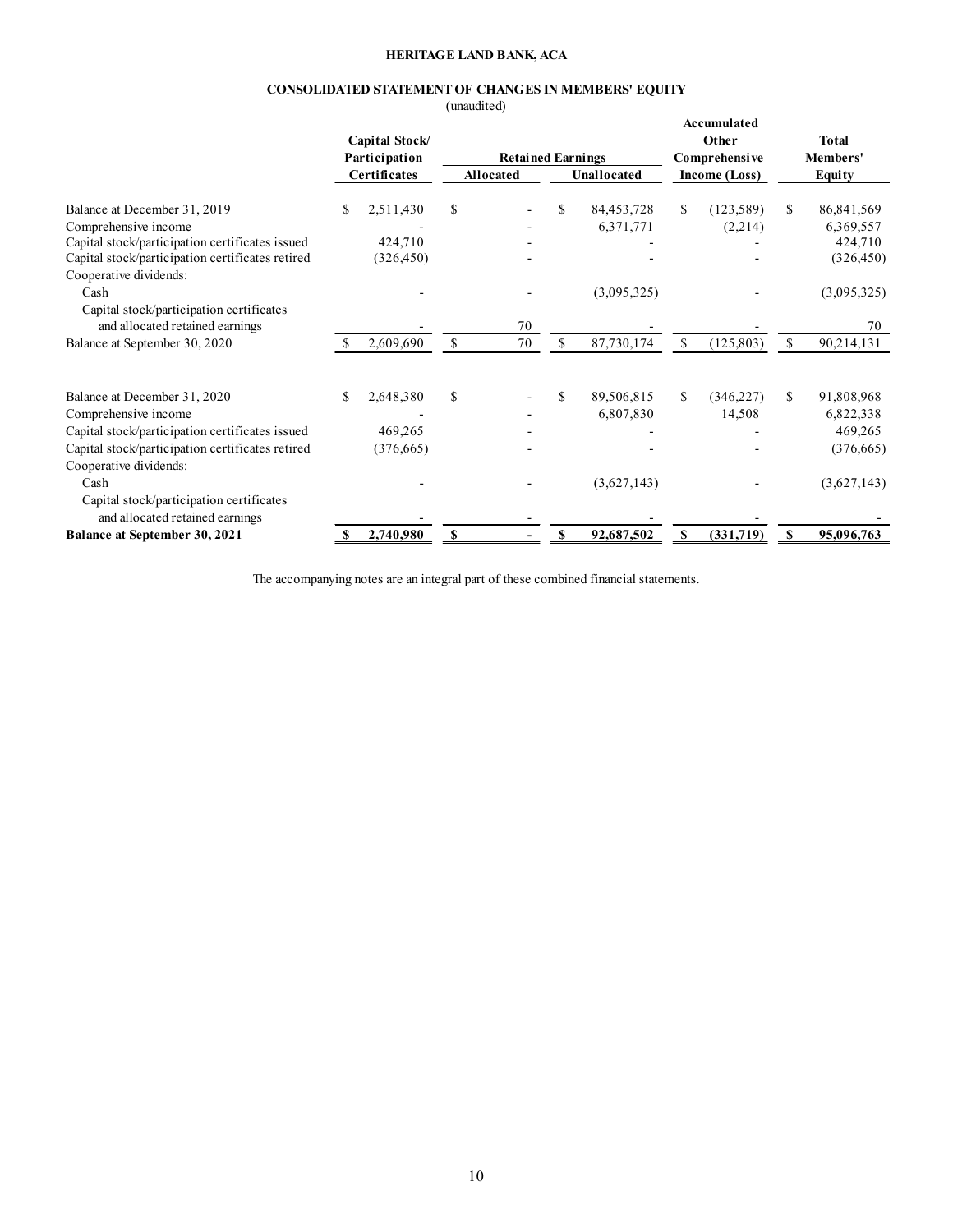## CONSOLIDATED STATEMENT OF CHANGES IN MEMBERS' EQUITY

|                                                                                                                               |               |                        | HERITAGE LAND BANK, ACA<br>(unaudited) |                          |              | CONSOLIDATED STATEMENT OF CHANGES IN MEMBERS' EQUITY |                         |                                                      |              |                                    |
|-------------------------------------------------------------------------------------------------------------------------------|---------------|------------------------|----------------------------------------|--------------------------|--------------|------------------------------------------------------|-------------------------|------------------------------------------------------|--------------|------------------------------------|
|                                                                                                                               | Participation | Capital Stock/         |                                        | <b>Retained Earnings</b> |              |                                                      |                         | Accumulated<br>Other<br>Comprehensive                |              | <b>Total</b><br>Members'           |
|                                                                                                                               | Certificates  |                        | Allocated                              |                          |              | Unallocated                                          |                         | Income (Loss)                                        |              | Equity                             |
| Balance at December 31, 2019<br>Comprehensive income<br>Capital stock/participation certificates issued                       | <sup>S</sup>  | 2,511,430<br>424,710   | \$                                     |                          | \$           | 84, 453, 728<br>6,371,771                            | -S                      | (123, 589)<br>(2,214)<br>$\blacksquare$              | $\mathbf{s}$ | 86,841,569<br>6,369,557<br>424,710 |
| Capital stock/participation certificates retired<br>Cooperative dividends:<br>Cash                                            |               | (326, 450)             |                                        | $\overline{\phantom{a}}$ |              | $\overline{\phantom{a}}$<br>(3,095,325)              |                         |                                                      |              | (326, 450)<br>(3,095,325)          |
| Capital stock/participation certificates<br>and allocated retained earnings                                                   |               |                        |                                        | $70\,$                   |              |                                                      |                         |                                                      |              | 70                                 |
| Balance at September 30, 2020                                                                                                 | -S            | 2,609,690              | $\mathbb{S}$                           | $70\,$                   | $\mathbb S$  | 87,730,174                                           | $\mathbb{S}$            | (125, 803)                                           | - \$         | 90,214,131                         |
| Balance at December 31, 2020<br>Comprehensive income                                                                          | <sup>\$</sup> | 2,648,380              | \$                                     |                          | -S           | 89,506,815<br>6,807,830                              | <sup>S</sup>            | (346,227)<br>14,508                                  | -S           | 91,808,968<br>6,822,338            |
| Capital stock/participation certificates issued<br>Capital stock/participation certificates retired<br>Cooperative dividends: |               | 469,265<br>(376,665)   |                                        |                          |              |                                                      |                         | $\overline{\phantom{a}}$<br>$\overline{\phantom{a}}$ |              | 469,265<br>(376, 665)              |
| Cash<br>Capital stock/participation certificates                                                                              |               |                        |                                        |                          |              | (3,627,143)                                          |                         |                                                      |              | (3,627,143)                        |
| and allocated retained earnings                                                                                               |               | $\frac{\$}{2,740,980}$ | $\mathbf{s}$                           | $\sim$                   | $\mathbf{s}$ | 92,687,502                                           | $\overline{\mathbf{s}}$ | (331,719)                                            | $\mathbf{s}$ | 95,096,763                         |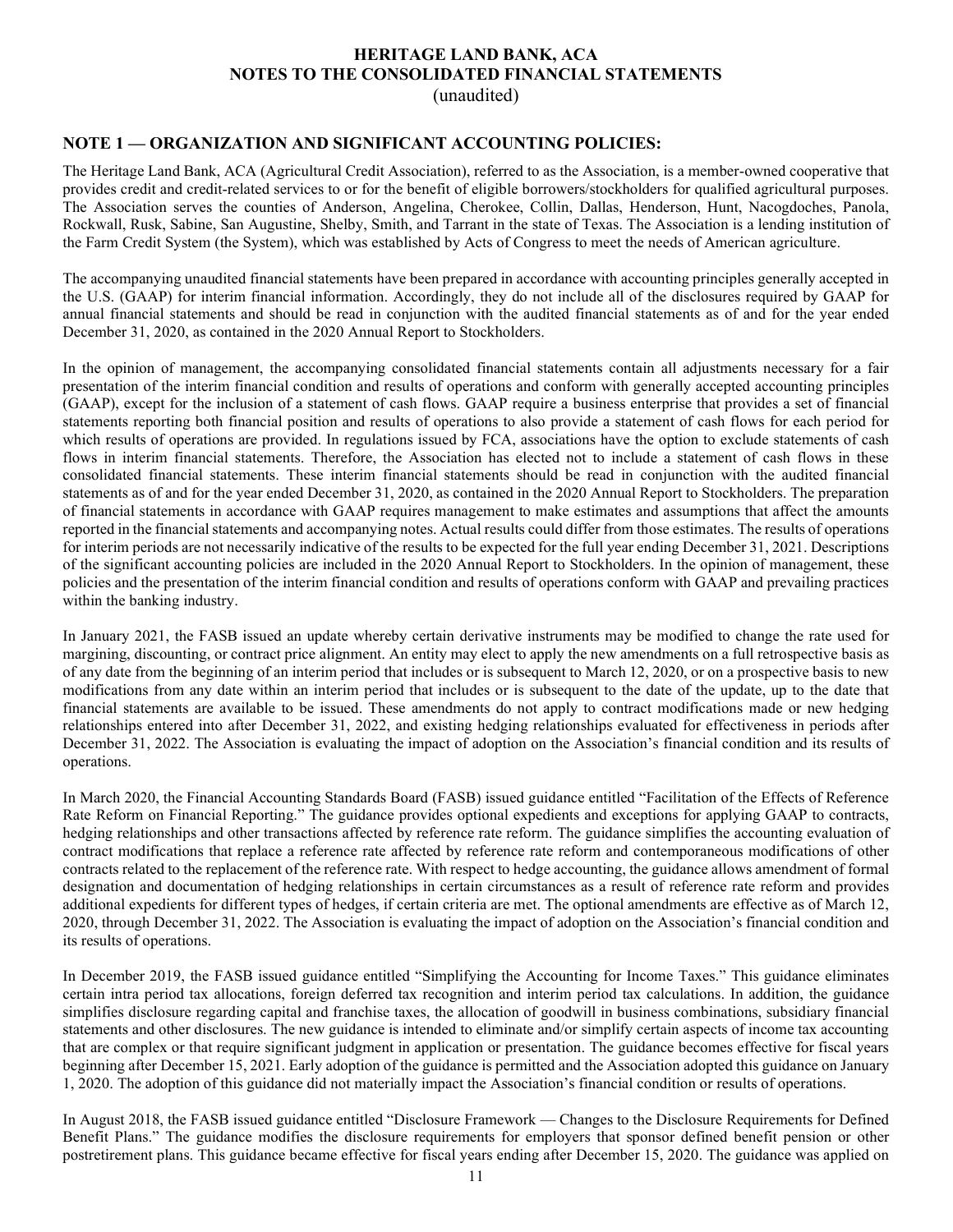## HERITAGE LAND BANK, ACA NOTES TO THE CONSOLIDATED FINANCIAL STATEMENTS

(unaudited)

## NOTE 1 — ORGANIZATION AND SIGNIFICANT ACCOUNTING POLICIES:

The Heritage Land Bank, ACA (Agricultural Credit Association), referred to as the Association, is a member-owned cooperative that provides credit and credit-related services to or for the benefit of eligible borrowers/stockholders for qualified agricultural purposes. The Association serves the counties of Anderson, Angelina, Cherokee, Collin, Dallas, Henderson, Hunt, Nacogdoches, Panola, Rockwall, Rusk, Sabine, San Augustine, Shelby, Smith, and Tarrant in the state of Texas. The Association is a lending institution of the Farm Credit System (the System), which was established by Acts of Congress to meet the needs of American agriculture.

The accompanying unaudited financial statements have been prepared in accordance with accounting principles generally accepted in the U.S. (GAAP) for interim financial information. Accordingly, they do not include all of the disclosures required by GAAP for annual financial statements and should be read in conjunction with the audited financial statements as of and for the year ended December 31, 2020, as contained in the 2020 Annual Report to Stockholders.

In the opinion of management, the accompanying consolidated financial statements contain all adjustments necessary for a fair presentation of the interim financial condition and results of operations and conform with generally accepted accounting principles (GAAP), except for the inclusion of a statement of cash flows. GAAP require a business enterprise that provides a set of financial statements reporting both financial position and results of operations to also provide a statement of cash flows for each period for which results of operations are provided. In regulations issued by FCA, associations have the option to exclude statements of cash flows in interim financial statements. Therefore, the Association has elected not to include a statement of cash flows in these consolidated financial statements. These interim financial statements should be read in conjunction with the audited financial statements as of and for the year ended December 31, 2020, as contained in the 2020 Annual Report to Stockholders. The preparation of financial statements in accordance with GAAP requires management to make estimates and assumptions that affect the amounts reported in the financial statements and accompanying notes. Actual results could differ from those estimates. The results of operations for interim periods are not necessarily indicative of the results to be expected for the full year ending December 31, 2021. Descriptions of the significant accounting policies are included in the 2020 Annual Report to Stockholders. In the opinion of management, these policies and the presentation of the interim financial condition and results of operations conform with GAAP and prevailing practices within the banking industry.

In January 2021, the FASB issued an update whereby certain derivative instruments may be modified to change the rate used for margining, discounting, or contract price alignment. An entity may elect to apply the new amendments on a full retrospective basis as of any date from the beginning of an interim period that includes or is subsequent to March 12, 2020, or on a prospective basis to new modifications from any date within an interim period that includes or is subsequent to the date of the update, up to the date that financial statements are available to be issued. These amendments do not apply to contract modifications made or new hedging relationships entered into after December 31, 2022, and existing hedging relationships evaluated for effectiveness in periods after December 31, 2022. The Association is evaluating the impact of adoption on the Association's financial condition and its results of operations.

In March 2020, the Financial Accounting Standards Board (FASB) issued guidance entitled "Facilitation of the Effects of Reference Rate Reform on Financial Reporting." The guidance provides optional expedients and exceptions for applying GAAP to contracts, hedging relationships and other transactions affected by reference rate reform. The guidance simplifies the accounting evaluation of contract modifications that replace a reference rate affected by reference rate reform and contemporaneous modifications of other contracts related to the replacement of the reference rate. With respect to hedge accounting, the guidance allows amendment of formal designation and documentation of hedging relationships in certain circumstances as a result of reference rate reform and provides additional expedients for different types of hedges, if certain criteria are met. The optional amendments are effective as of March 12, 2020, through December 31, 2022. The Association is evaluating the impact of adoption on the Association's financial condition and its results of operations.

In December 2019, the FASB issued guidance entitled "Simplifying the Accounting for Income Taxes." This guidance eliminates certain intra period tax allocations, foreign deferred tax recognition and interim period tax calculations. In addition, the guidance simplifies disclosure regarding capital and franchise taxes, the allocation of goodwill in business combinations, subsidiary financial statements and other disclosures. The new guidance is intended to eliminate and/or simplify certain aspects of income tax accounting that are complex or that require significant judgment in application or presentation. The guidance becomes effective for fiscal years beginning after December 15, 2021. Early adoption of the guidance is permitted and the Association adopted this guidance on January 1, 2020. The adoption of this guidance did not materially impact the Association's financial condition or results of operations.

In August 2018, the FASB issued guidance entitled "Disclosure Framework — Changes to the Disclosure Requirements for Defined Benefit Plans." The guidance modifies the disclosure requirements for employers that sponsor defined benefit pension or other postretirement plans. This guidance became effective for fiscal years ending after December 15, 2020. The guidance was applied on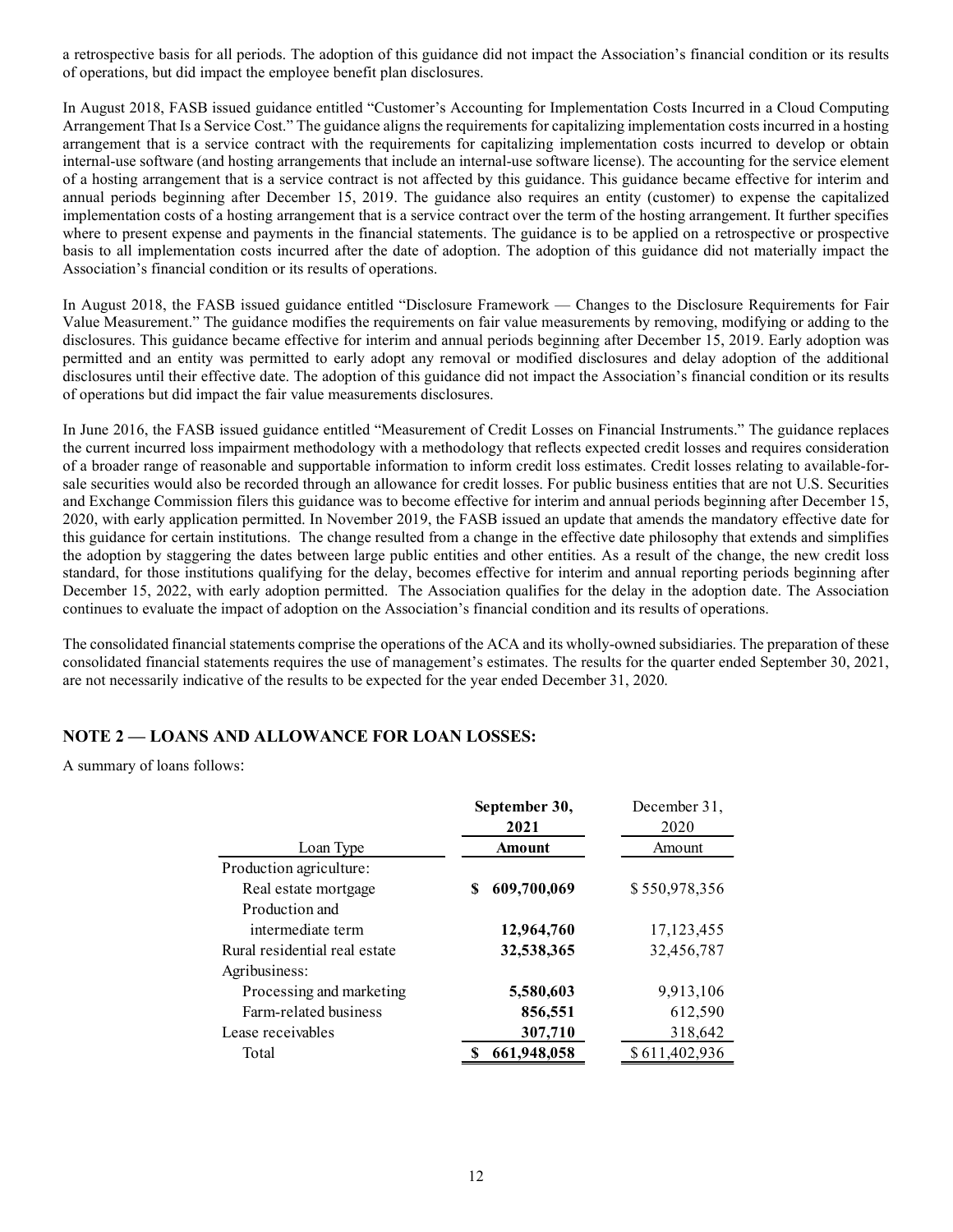a retrospective basis for all periods. The adoption of this guidance did not impact the Association's financial condition or its results of operations, but did impact the employee benefit plan disclosures.

In August 2018, FASB issued guidance entitled "Customer's Accounting for Implementation Costs Incurred in a Cloud Computing Arrangement That Is a Service Cost." The guidance aligns the requirements for capitalizing implementation costs incurred in a hosting arrangement that is a service contract with the requirements for capitalizing implementation costs incurred to develop or obtain internal-use software (and hosting arrangements that include an internal-use software license). The accounting for the service element of a hosting arrangement that is a service contract is not affected by this guidance. This guidance became effective for interim and annual periods beginning after December 15, 2019. The guidance also requires an entity (customer) to expense the capitalized implementation costs of a hosting arrangement that is a service contract over the term of the hosting arrangement. It further specifies where to present expense and payments in the financial statements. The guidance is to be applied on a retrospective or prospective basis to all implementation costs incurred after the date of adoption. The adoption of this guidance did not materially impact the Association's financial condition or its results of operations.

In August 2018, the FASB issued guidance entitled "Disclosure Framework — Changes to the Disclosure Requirements for Fair Value Measurement." The guidance modifies the requirements on fair value measurements by removing, modifying or adding to the disclosures. This guidance became effective for interim and annual periods beginning after December 15, 2019. Early adoption was permitted and an entity was permitted to early adopt any removal or modified disclosures and delay adoption of the additional disclosures until their effective date. The adoption of this guidance did not impact the Association's financial condition or its results of operations but did impact the fair value measurements disclosures.

In June 2016, the FASB issued guidance entitled "Measurement of Credit Losses on Financial Instruments." The guidance replaces the current incurred loss impairment methodology with a methodology that reflects expected credit losses and requires consideration of a broader range of reasonable and supportable information to inform credit loss estimates. Credit losses relating to available-forsale securities would also be recorded through an allowance for credit losses. For public business entities that are not U.S. Securities and Exchange Commission filers this guidance was to become effective for interim and annual periods beginning after December 15, 2020, with early application permitted. In November 2019, the FASB issued an update that amends the mandatory effective date for this guidance for certain institutions. The change resulted from a change in the effective date philosophy that extends and simplifies the adoption by staggering the dates between large public entities and other entities. As a result of the change, the new credit loss standard, for those institutions qualifying for the delay, becomes effective for interim and annual reporting periods beginning after December 15, 2022, with early adoption permitted. The Association qualifies for the delay in the adoption date. The Association continues to evaluate the impact of adoption on the Association's financial condition and its results of operations. somen and supportable intermation to intermed to insert and subsets. Levelt losses. For the statistics that are not U.S. Securities<br>
be recorded through an allowance for credit losses. For public business entities that ar

The consolidated financial statements comprise the operations of the ACA and its wholly-owned subsidiaries. The preparation of these consolidated financial statements requires the use of management's estimates. The results for the quarter ended September 30, 2021, are not necessarily indicative of the results to be expected for the year ended December 31, 2020.

## NOTE 2 — LOANS AND ALLOWANCE FOR LOAN LOSSES:

A summary of loans follows:

| ion permitted. In November 2019, the FASB issued an update that amends the mandatory effective date for<br>institutions. The change resulted from a change in the effective date philosophy that extends and simplifies<br>ing the dates between large public entities and other entities. As a result of the change, the new credit loss<br>utions qualifying for the delay, becomes effective for interim and annual reporting periods beginning after<br>h early adoption permitted. The Association qualifies for the delay in the adoption date. The Association<br>impact of adoption on the Association's financial condition and its results of operations. | on filers this guidance was to become effective for interim and annual periods beginning after December 15, |                      |  |
|---------------------------------------------------------------------------------------------------------------------------------------------------------------------------------------------------------------------------------------------------------------------------------------------------------------------------------------------------------------------------------------------------------------------------------------------------------------------------------------------------------------------------------------------------------------------------------------------------------------------------------------------------------------------|-------------------------------------------------------------------------------------------------------------|----------------------|--|
| al statements comprise the operations of the ACA and its wholly-owned subsidiaries. The preparation of these                                                                                                                                                                                                                                                                                                                                                                                                                                                                                                                                                        |                                                                                                             |                      |  |
| atements requires the use of management's estimates. The results for the quarter ended September 30, 2021,<br>tive of the results to be expected for the year ended December 31, 2020.                                                                                                                                                                                                                                                                                                                                                                                                                                                                              |                                                                                                             |                      |  |
|                                                                                                                                                                                                                                                                                                                                                                                                                                                                                                                                                                                                                                                                     |                                                                                                             |                      |  |
|                                                                                                                                                                                                                                                                                                                                                                                                                                                                                                                                                                                                                                                                     |                                                                                                             |                      |  |
| <b>AND ALLOWANCE FOR LOAN LOSSES:</b>                                                                                                                                                                                                                                                                                                                                                                                                                                                                                                                                                                                                                               |                                                                                                             |                      |  |
|                                                                                                                                                                                                                                                                                                                                                                                                                                                                                                                                                                                                                                                                     |                                                                                                             |                      |  |
|                                                                                                                                                                                                                                                                                                                                                                                                                                                                                                                                                                                                                                                                     |                                                                                                             |                      |  |
|                                                                                                                                                                                                                                                                                                                                                                                                                                                                                                                                                                                                                                                                     |                                                                                                             |                      |  |
|                                                                                                                                                                                                                                                                                                                                                                                                                                                                                                                                                                                                                                                                     | September 30,<br>2021                                                                                       | December 31,<br>2020 |  |
| Loan Type                                                                                                                                                                                                                                                                                                                                                                                                                                                                                                                                                                                                                                                           | <b>Amount</b>                                                                                               | Amount               |  |
|                                                                                                                                                                                                                                                                                                                                                                                                                                                                                                                                                                                                                                                                     |                                                                                                             |                      |  |
| Real estate mortgage                                                                                                                                                                                                                                                                                                                                                                                                                                                                                                                                                                                                                                                | 609,700,069<br>S                                                                                            | \$550,978,356        |  |
| Production and                                                                                                                                                                                                                                                                                                                                                                                                                                                                                                                                                                                                                                                      |                                                                                                             |                      |  |
| ows:<br>Production agriculture:<br>intermediate term                                                                                                                                                                                                                                                                                                                                                                                                                                                                                                                                                                                                                | 12,964,760                                                                                                  | 17,123,455           |  |
| Rural residential real estate                                                                                                                                                                                                                                                                                                                                                                                                                                                                                                                                                                                                                                       | 32,538,365                                                                                                  | 32,456,787           |  |
|                                                                                                                                                                                                                                                                                                                                                                                                                                                                                                                                                                                                                                                                     |                                                                                                             |                      |  |
| Processing and marketing                                                                                                                                                                                                                                                                                                                                                                                                                                                                                                                                                                                                                                            | 5,580,603                                                                                                   | 9,913,106            |  |
| Farm-related business                                                                                                                                                                                                                                                                                                                                                                                                                                                                                                                                                                                                                                               | 856,551                                                                                                     | 612,590              |  |
| Agribusiness:<br>Lease receivables                                                                                                                                                                                                                                                                                                                                                                                                                                                                                                                                                                                                                                  | 307,710                                                                                                     | 318,642              |  |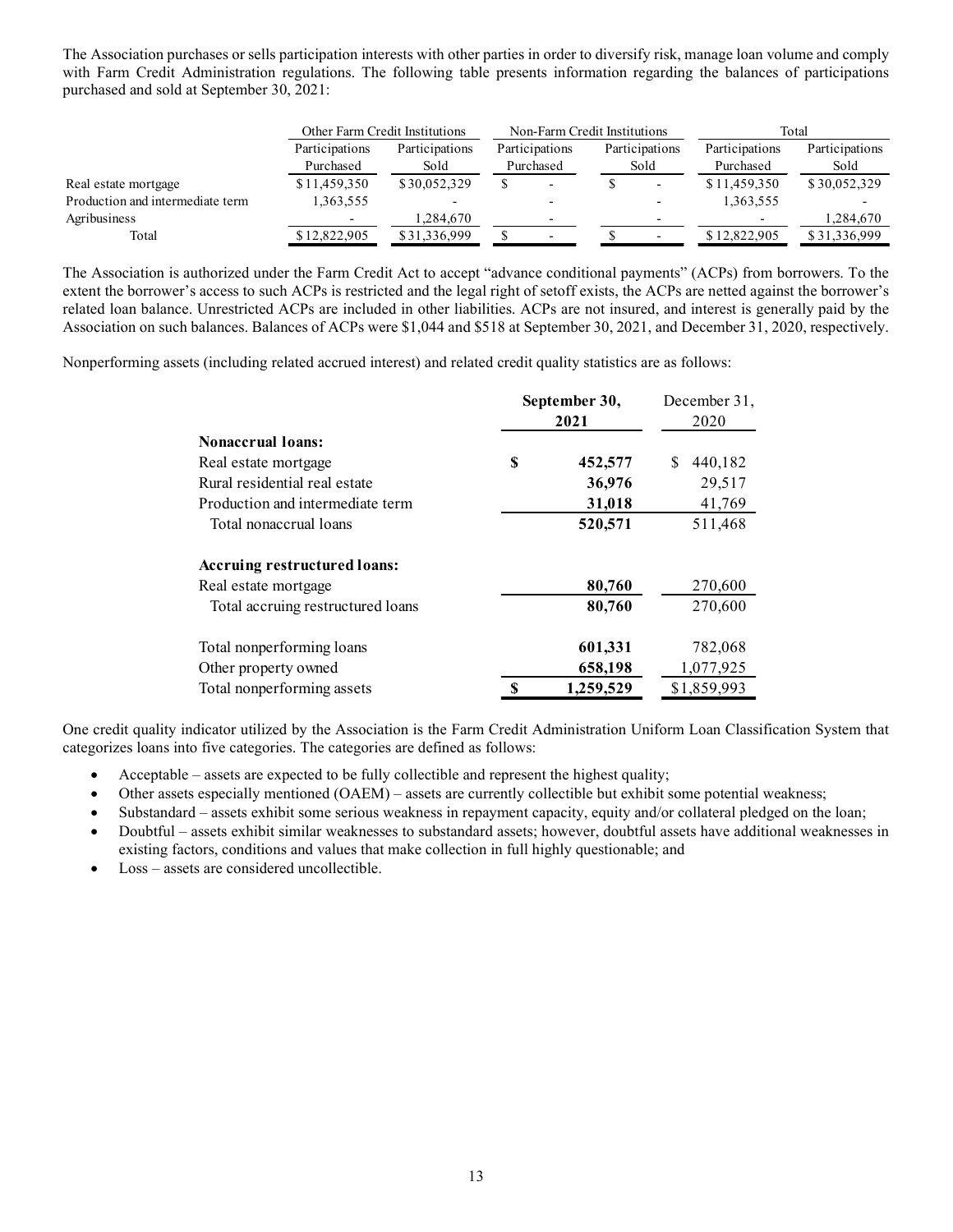| The Association purchases or sells participation interests with other parties in order to diversify risk, manage loan volume and comply |                             |                                |                              |               |                        |                             |                           |
|-----------------------------------------------------------------------------------------------------------------------------------------|-----------------------------|--------------------------------|------------------------------|---------------|------------------------|-----------------------------|---------------------------|
| with Farm Credit Administration regulations. The following table presents information regarding the balances of participations          |                             |                                |                              |               |                        |                             |                           |
| purchased and sold at September 30, 2021:                                                                                               |                             |                                |                              |               |                        |                             |                           |
|                                                                                                                                         |                             |                                |                              |               |                        |                             | Total                     |
|                                                                                                                                         |                             | Other Farm Credit Institutions | Non-Farm Credit Institutions |               |                        |                             |                           |
|                                                                                                                                         | Participations<br>Purchased | Participations<br>Sold         | Participations               |               | Participations<br>Sold | Participations<br>Purchased | Participations<br>Sold    |
|                                                                                                                                         | \$11,459,350                |                                | Purchased<br><sup>\$</sup>   | <sup>\$</sup> |                        |                             |                           |
| Real estate mortgage<br>Production and intermediate term                                                                                | 1,363,555                   | \$30,052,329                   |                              |               |                        | \$11,459,350                | \$30,052,329              |
|                                                                                                                                         |                             |                                |                              |               |                        | 1,363,555                   |                           |
| Agribusiness<br>Total                                                                                                                   | \$12,822,905                | 1,284,670<br>\$31,336,999      | $\mathcal{S}$                | <sup>\$</sup> |                        | \$12,822,905                | 1,284,670<br>\$31,336,999 |

Nonperforming assets (including related accrued interest) and related credit quality statistics are as follows:

|                                   | September 30,<br>2021 | December 31,<br>2020 |
|-----------------------------------|-----------------------|----------------------|
| <b>Nonaccrual loans:</b>          |                       |                      |
| Real estate mortgage              | \$<br>452,577         | 440,182<br>S.        |
| Rural residential real estate     | 36,976                | 29,517               |
| Production and intermediate term  | 31,018                | 41,769               |
| Total nonaccrual loans            | 520,571               | 511,468              |
| Accruing restructured loans:      |                       |                      |
| Real estate mortgage              | 80,760                | 270,600              |
| Total accruing restructured loans | 80,760                | 270,600              |
| Total nonperforming loans         | 601,331               | 782,068              |
| Other property owned              | 658,198               | 1,077,925            |
| Total nonperforming assets        | 1,259,529             | \$1,859,993          |

One credit quality indicator utilized by the Association is the Farm Credit Administration Uniform Loan Classification System that categorizes loans into five categories. The categories are defined as follows:

- Acceptable assets are expected to be fully collectible and represent the highest quality;
- Other assets especially mentioned (OAEM) assets are currently collectible but exhibit some potential weakness;
- Substandard assets exhibit some serious weakness in repayment capacity, equity and/or collateral pledged on the loan;
- Doubtful assets exhibit similar weaknesses to substandard assets; however, doubtful assets have additional weaknesses in existing factors, conditions and values that make collection in full highly questionable; and
- Loss assets are considered uncollectible.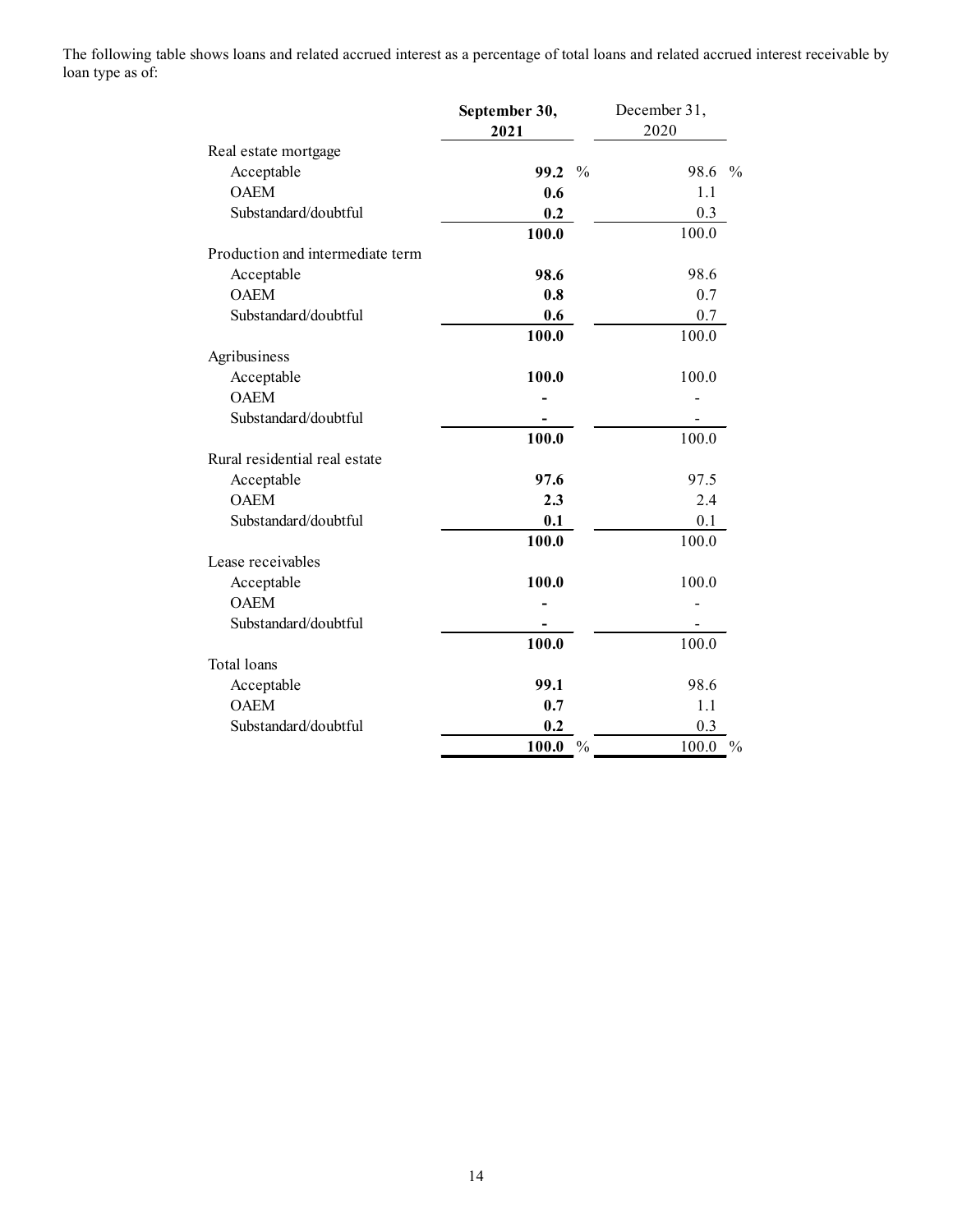The following table shows loans and related accrued interest as a percentage of total loans and related accrued interest receivable by loan type as of:

| nows loans and related accrued interest as a percentage of total loans and related accrued interest receivable by |                  |              |
|-------------------------------------------------------------------------------------------------------------------|------------------|--------------|
|                                                                                                                   |                  |              |
|                                                                                                                   | September 30,    | December 31, |
|                                                                                                                   | 2021             | 2020         |
| Real estate mortgage                                                                                              |                  |              |
| Acceptable                                                                                                        | 99.2 %           | 98.6 %       |
| <b>OAEM</b>                                                                                                       | 0.6              | 1.1          |
| Substandard/doubtful                                                                                              | 0.2              | 0.3          |
| Production and intermediate term                                                                                  | 100.0            | 100.0        |
|                                                                                                                   | 98.6             | 98.6         |
| Acceptable<br><b>OAEM</b>                                                                                         | $0.8\,$          | $0.7\,$      |
| Substandard/doubtful                                                                                              | 0.6              | 0.7          |
|                                                                                                                   | 100.0            | 100.0        |
| Agribusiness                                                                                                      |                  |              |
| Acceptable                                                                                                        | 100.0            | 100.0        |
| <b>OAEM</b>                                                                                                       |                  |              |
| Substandard/doubtful                                                                                              |                  |              |
|                                                                                                                   | 100.0            | 100.0        |
| Rural residential real estate                                                                                     |                  |              |
| Acceptable                                                                                                        | 97.6             | 97.5         |
| <b>OAEM</b>                                                                                                       | 2.3              | $2.4\,$      |
| Substandard/doubtful                                                                                              | 0.1              | 0.1          |
|                                                                                                                   | 100.0            | 100.0        |
| Lease receivables                                                                                                 |                  |              |
| Acceptable                                                                                                        | 100.0            | 100.0        |
| <b>OAEM</b>                                                                                                       |                  |              |
| Substandard/doubtful                                                                                              |                  |              |
|                                                                                                                   | 100.0            | 100.0        |
| Total loans                                                                                                       |                  |              |
| Acceptable                                                                                                        | 99.1             | 98.6         |
| OAEM                                                                                                              | 0.7              | 1.1          |
| Substandard/doubtful                                                                                              | $0.2\,$          | 0.3          |
|                                                                                                                   | $100.0\degree$ % | $100.0~\%$   |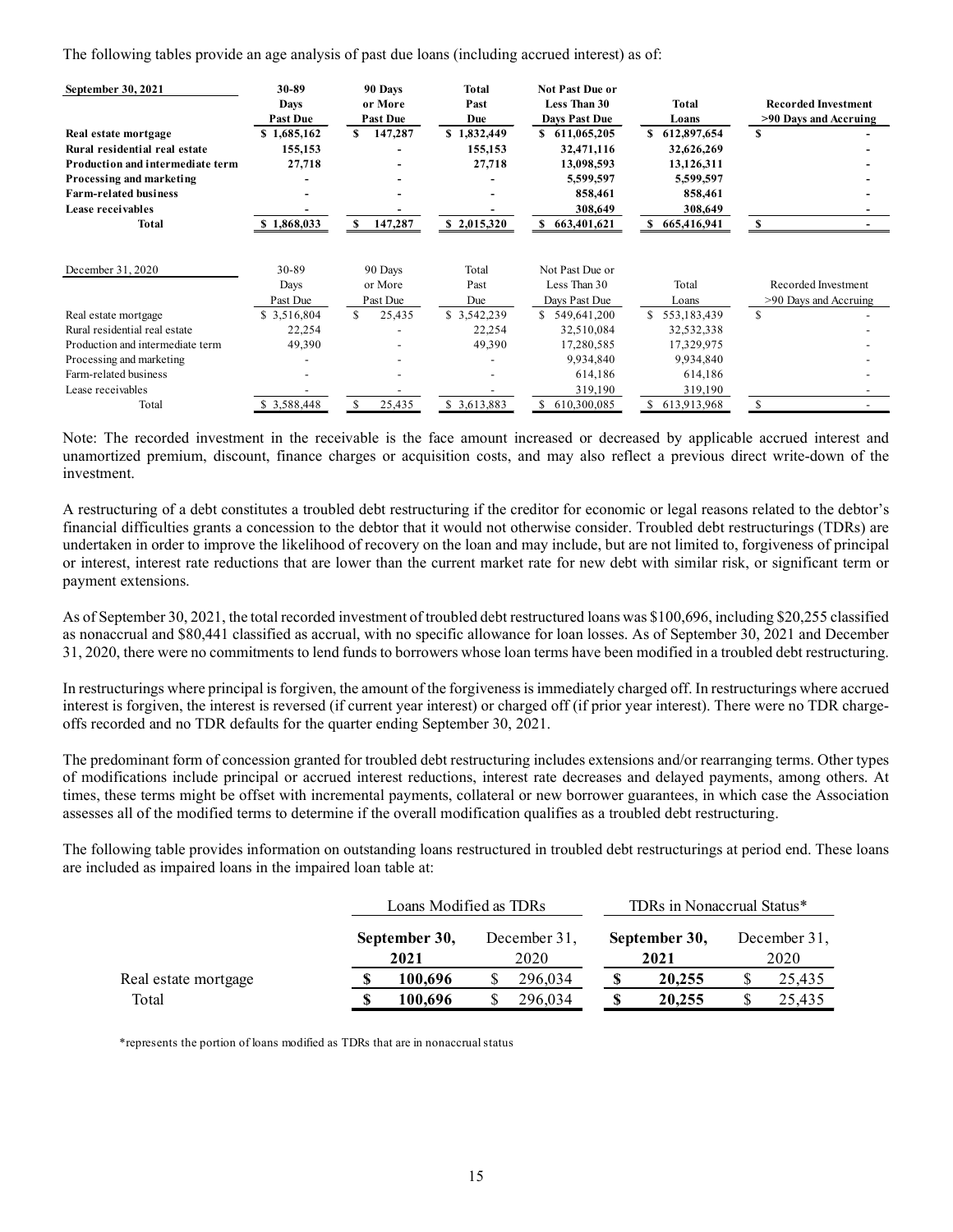| The following tables provide an age analysis of past due loans (including accrued interest) as of:<br>September 30, 2021 | 30-89                                   | 90 Days                               | <b>Total</b>                     | Not Past Due or                                                   |                                                                                                        |                                                     |  |
|--------------------------------------------------------------------------------------------------------------------------|-----------------------------------------|---------------------------------------|----------------------------------|-------------------------------------------------------------------|--------------------------------------------------------------------------------------------------------|-----------------------------------------------------|--|
|                                                                                                                          | <b>Days</b><br><b>Past Due</b>          | or More<br><b>Past Due</b>            | Past<br>Due                      | Less Than 30<br>Days Past Due                                     | <b>Total</b>                                                                                           | <b>Recorded Investment</b><br>>90 Days and Accruing |  |
| Real estate mortgage<br>Rural residential real estate<br>Production and intermediate term                                | \$1,685,162<br>155,153<br>27,718        | \$147,287<br>$\overline{\phantom{a}}$ | \$1,832,449<br>155,153<br>27,718 | \$611,065,205<br>32,471,116<br>13,098,593<br>5,599,597<br>858,461 | Loans<br>\$612,897,654<br>32,626,269<br>13,126,311<br>5,599,597<br>858,461<br>308,649<br>\$665,416,941 | S.                                                  |  |
| Processing and marketing<br><b>Farm-related business</b><br>Lease receivables<br><b>Total</b>                            | $\overline{\phantom{0}}$<br>\$1,868,033 | 147,287<br>S.                         | \$2,015,320                      | 308,649<br>\$663,401,621                                          |                                                                                                        | <sup>S</sup>                                        |  |
|                                                                                                                          | 30-89<br>Days                           | 90 Days<br>or More                    | Total<br>Past                    | Not Past Due or<br>Less Than 30                                   | Total                                                                                                  | Recorded Investment                                 |  |
| December 31, 2020                                                                                                        | Past Due                                | Past Due                              | Due                              | Days Past Due                                                     | Loans                                                                                                  | >90 Days and Accruing                               |  |
| Real estate mortgage<br>Rural residential real estate                                                                    | \$3,516,804<br>22,254                   | \$<br>25,435                          | \$ 3,542,239<br>22,254           | \$ 549,641,200<br>32,510,084                                      | \$553,183,439<br>32,532,338                                                                            | $\mathbb{S}$                                        |  |
| Production and intermediate term                                                                                         | 49,390                                  |                                       | 49,390                           | 17,280,585                                                        | 17,329,975                                                                                             |                                                     |  |
| Processing and marketing                                                                                                 | $\overline{\phantom{a}}$                |                                       | $\overline{\phantom{a}}$         | 9,934,840                                                         | 9,934,840                                                                                              |                                                     |  |
| Farm-related business                                                                                                    | $\overline{\phantom{a}}$                |                                       |                                  | 614,186                                                           | 614,186                                                                                                |                                                     |  |
| Lease receivables                                                                                                        |                                         |                                       | \$3,613,883                      | 319,190                                                           | 319,190<br>\$613,913,968                                                                               |                                                     |  |

A restructuring of a debt constitutes a troubled debt restructuring if the creditor for economic or legal reasons related to the debtor's financial difficulties grants a concession to the debtor that it would not otherwise consider. Troubled debt restructurings (TDRs) are undertaken in order to improve the likelihood of recovery on the loan and may include, but are not limited to, forgiveness of principal or interest, interest rate reductions that are lower than the current market rate for new debt with similar risk, or significant term or payment extensions.

As of September 30, 2021, the total recorded investment of troubled debt restructured loans was \$100,696, including \$20,255 classified as nonaccrual and \$80,441 classified as accrual, with no specific allowance for loan losses. As of September 30, 2021 and December 31, 2020, there were no commitments to lend funds to borrowers whose loan terms have been modified in a troubled debt restructuring.

In restructurings where principal is forgiven, the amount of the forgiveness is immediately charged off. In restructurings where accrued interest is forgiven, the interest is reversed (if current year interest) or charged off (if prior year interest). There were no TDR chargeoffs recorded and no TDR defaults for the quarter ending September 30, 2021.

The predominant form of concession granted for troubled debt restructuring includes extensions and/or rearranging terms. Other types of modifications include principal or accrued interest reductions, interest rate decreases and delayed payments, among others. At times, these terms might be offset with incremental payments, collateral or new borrower guarantees, in which case the Association assesses all of the modified terms to determine if the overall modification qualifies as a troubled debt restructuring.

The following table provides information on outstanding loans restructured in troubled debt restructurings at period end. These loans are included as impaired loans in the impaired loan table at:

|                      | Loans Modified as TDRs |                      | TDRs in Nonaccrual Status* |                      |
|----------------------|------------------------|----------------------|----------------------------|----------------------|
|                      | September 30,<br>2021  | December 31,<br>2020 | September 30,<br>2021      | December 31,<br>2020 |
| Real estate mortgage | 100.696                | 296,034              | 20,255                     | 25,435               |
| Total                | 100.696                | 296,034              | 20,255                     | 25,435               |

\*represents the portion of loans modified as TDRs that are in nonaccrual status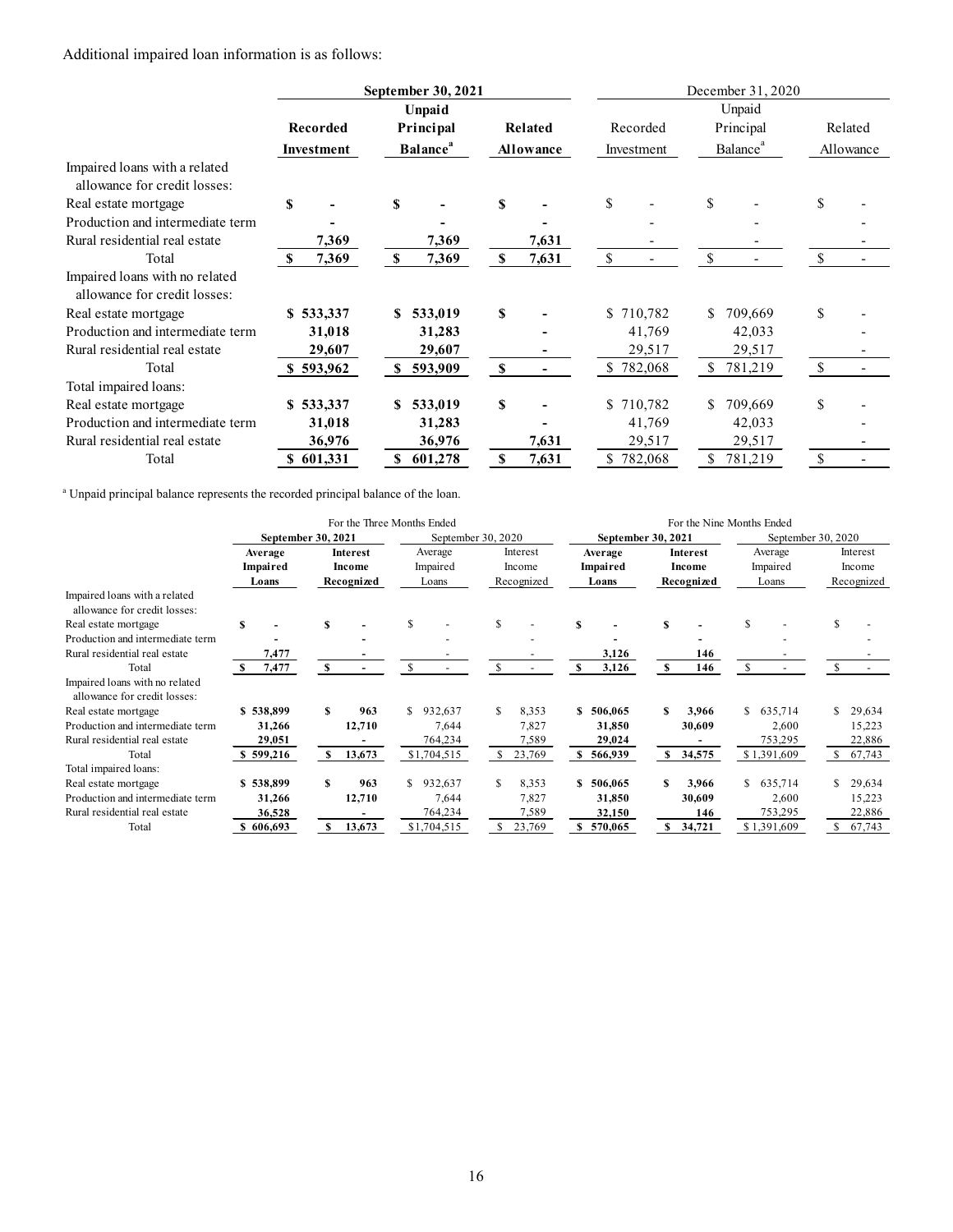| Additional impaired loan information is as follows:                                          |                    |                        |                             |                    |                          |                               |                                |                                      |                    |                                          |
|----------------------------------------------------------------------------------------------|--------------------|------------------------|-----------------------------|--------------------|--------------------------|-------------------------------|--------------------------------|--------------------------------------|--------------------|------------------------------------------|
|                                                                                              |                    |                        |                             |                    |                          |                               |                                |                                      |                    |                                          |
|                                                                                              |                    |                        | September 30, 2021          |                    |                          |                               |                                | December 31, 2020                    |                    |                                          |
|                                                                                              |                    |                        | Unpaid                      |                    |                          |                               |                                | Unpaid                               |                    |                                          |
|                                                                                              |                    | Recorded               | Principal                   |                    | Related                  | Recorded                      |                                | Principal                            |                    | Related                                  |
|                                                                                              |                    | Investment             | <b>Balance</b> <sup>a</sup> |                    | Allowance                | Investment                    |                                | Balance <sup>a</sup>                 |                    | Allowance                                |
| Impaired loans with a related                                                                |                    |                        |                             |                    |                          |                               |                                |                                      |                    |                                          |
| allowance for credit losses:                                                                 |                    |                        |                             |                    |                          |                               |                                |                                      |                    |                                          |
| Real estate mortgage                                                                         | $\mathbf S$        |                        | \$                          | \$                 |                          | <sup>\$</sup>                 |                                | $\mathbf S$                          | \$                 |                                          |
| Production and intermediate term                                                             |                    |                        |                             |                    | $\overline{\phantom{a}}$ |                               |                                |                                      |                    |                                          |
| Rural residential real estate                                                                |                    | 7,369                  | 7,369                       |                    | 7,631                    |                               |                                |                                      |                    |                                          |
| Total                                                                                        | $\mathbf{s}$       | 7,369                  | 7,369<br>$\mathbf S$        | $\mathbf{s}$       | 7,631                    | $\mathbb{S}$                  |                                | <sup>\$</sup>                        | <sup>S</sup>       |                                          |
| Impaired loans with no related                                                               |                    |                        |                             |                    |                          |                               |                                |                                      |                    |                                          |
| allowance for credit losses:                                                                 |                    |                        |                             |                    |                          |                               |                                |                                      |                    |                                          |
| Real estate mortgage                                                                         |                    | \$533,337              | \$533,019                   | \$                 |                          | \$710,782                     |                                | \$709,669                            | \$                 |                                          |
| Production and intermediate term                                                             |                    | 31,018                 | 31,283                      |                    |                          |                               | 41,769                         | 42,033                               |                    |                                          |
| Rural residential real estate<br>Total                                                       |                    | 29,607<br>\$593,962    | 29,607<br>\$593,909         | <sup>\$</sup>      |                          | \$782,068                     | 29,517                         | 29,517<br>\$781,219                  |                    |                                          |
| Total impaired loans:                                                                        |                    |                        |                             |                    |                          |                               |                                |                                      | S.                 |                                          |
| Real estate mortgage                                                                         |                    | \$533,337              | \$533,019                   | \$                 |                          | \$710,782                     |                                | \$709,669                            | \$                 |                                          |
| Production and intermediate term                                                             |                    | 31,018                 | 31,283                      |                    |                          |                               | 41,769                         | 42,033                               |                    |                                          |
| Rural residential real estate                                                                |                    | 36,976                 | 36,976                      |                    | 7,631                    |                               | 29,517                         | 29,517                               |                    |                                          |
| Total                                                                                        |                    | \$601,331              | \$601,278                   | \$                 | 7,631                    | \$782,068                     |                                | \$781,219                            | \$                 |                                          |
|                                                                                              |                    |                        |                             |                    |                          |                               |                                |                                      |                    |                                          |
| <sup>a</sup> Unpaid principal balance represents the recorded principal balance of the loan. |                    |                        |                             |                    |                          |                               |                                |                                      |                    |                                          |
|                                                                                              |                    |                        |                             |                    |                          |                               |                                |                                      |                    |                                          |
|                                                                                              |                    | September 30, 2021     | For the Three Months Ended  | September 30, 2020 |                          |                               | September 30, 2021             | For the Nine Months Ended            | September 30, 2020 |                                          |
|                                                                                              | Average            | Interest               | Average                     | Interest           |                          | Average                       | Interest                       | Average                              |                    | Interest                                 |
|                                                                                              | Impaired           | Income                 | Impaired                    | Income             |                          | Impaired                      | Income                         | Impaired                             |                    | Income                                   |
| Impaired loans with a related                                                                | Loans              | Recognized             | Loans                       | Recognized         |                          | Loans                         | Recognized                     | Loans                                |                    | Recognized                               |
| allowance for credit losses:                                                                 |                    |                        |                             |                    |                          |                               |                                |                                      |                    |                                          |
| Real estate mortgage<br>$\mathbf{s}$                                                         |                    | S                      | <sup>\$</sup>               | \$                 |                          | S<br>$\overline{\phantom{a}}$ | \$<br>$\overline{\phantom{a}}$ | \$.                                  |                    | $\mathbb{S}$<br>$\overline{\phantom{a}}$ |
| Production and intermediate term                                                             |                    |                        |                             |                    |                          |                               |                                |                                      |                    |                                          |
| Rural residential real estate<br>Total                                                       | 7,477<br>$S$ 7,477 | $\mathbf{s}$<br>$\sim$ | \$                          | <sup>\$</sup>      | $\sim$                   | 3,126<br>3,126<br>S           | $\mathbf{s}$                   | 146<br>146<br>$\mathbb{S}$<br>$\sim$ |                    | <sup>\$</sup>                            |
| Impaired loans with no related                                                               |                    |                        |                             |                    |                          |                               |                                |                                      |                    |                                          |

|                                                                |             | For the Three Months Ended |                    |             |                           |                          | For the Nine Months Ended |                          |
|----------------------------------------------------------------|-------------|----------------------------|--------------------|-------------|---------------------------|--------------------------|---------------------------|--------------------------|
|                                                                |             | September 30, 2021         | September 30, 2020 |             | <b>September 30, 2021</b> |                          |                           | September 30, 2020       |
|                                                                | Average     | Interest                   | Average            | Interest    | Average                   | Interest                 | Average                   | Interest                 |
|                                                                | Impaired    | Income                     | Impaired           | Income      | Impaired                  | Income                   | Impaired                  | Income                   |
|                                                                | Loans       | Recognized                 | Loans              | Recognized  | Loans                     | Recognized               | Loans                     | Recognized               |
| Impaired loans with a related<br>allowance for credit losses:  |             |                            |                    |             |                           |                          |                           |                          |
| Real estate mortgage                                           | \$          |                            |                    |             |                           |                          |                           |                          |
| Production and intermediate term                               |             | $\overline{\phantom{0}}$   |                    |             |                           | $\overline{\phantom{0}}$ |                           | $\overline{\phantom{0}}$ |
| Rural residential real estate                                  | 7,477       |                            |                    |             | 3,126                     | 146                      |                           |                          |
| Total                                                          | 7,477<br>S. |                            |                    |             | 3,126                     | 146<br>-SS               |                           |                          |
| Impaired loans with no related<br>allowance for credit losses: |             |                            |                    |             |                           |                          |                           |                          |
| Real estate mortgage                                           | \$538,899   | 963<br>S                   | \$932,637          | 8,353       | \$506,065                 | 3,966                    | \$635,714                 | \$29,634                 |
| Production and intermediate term                               | 31,266      | 12,710                     | 7,644              | 7,827       | 31,850                    | 30,609                   | 2,600                     | 15,223                   |
| Rural residential real estate                                  | 29,051      |                            | 764,234            | 7,589       | 29,024                    |                          | 753,295                   | 22,886                   |
| Total                                                          | \$599,216   | 13,673<br>S                | \$1,704,515        | 23,769      | \$566,939                 | \$ 34,575                | \$1,391,609               | \$67,743                 |
| Total impaired loans:                                          |             |                            |                    |             |                           |                          |                           |                          |
| Real estate mortgage                                           | \$538,899   | 963<br>S                   | \$.<br>932,637     | 8,353<br>£. | \$506,065                 | 3,966                    | \$635,714                 | 29,634                   |
| Production and intermediate term                               | 31,266      | 12,710                     | 7,644              | 7,827       | 31,850                    | 30,609                   | 2,600                     | 15,223                   |
| Rural residential real estate                                  | 36,528      |                            | 764,234            | 7,589       | 32,150                    | 146                      | 753,295                   | 22,886                   |
| Total                                                          | 606,693     | 13,673                     | \$1,704,515        | 23,769      | 570,065                   | 34,721<br>S.             | \$1,391,609               | 67,743                   |
|                                                                |             |                            |                    |             |                           |                          |                           |                          |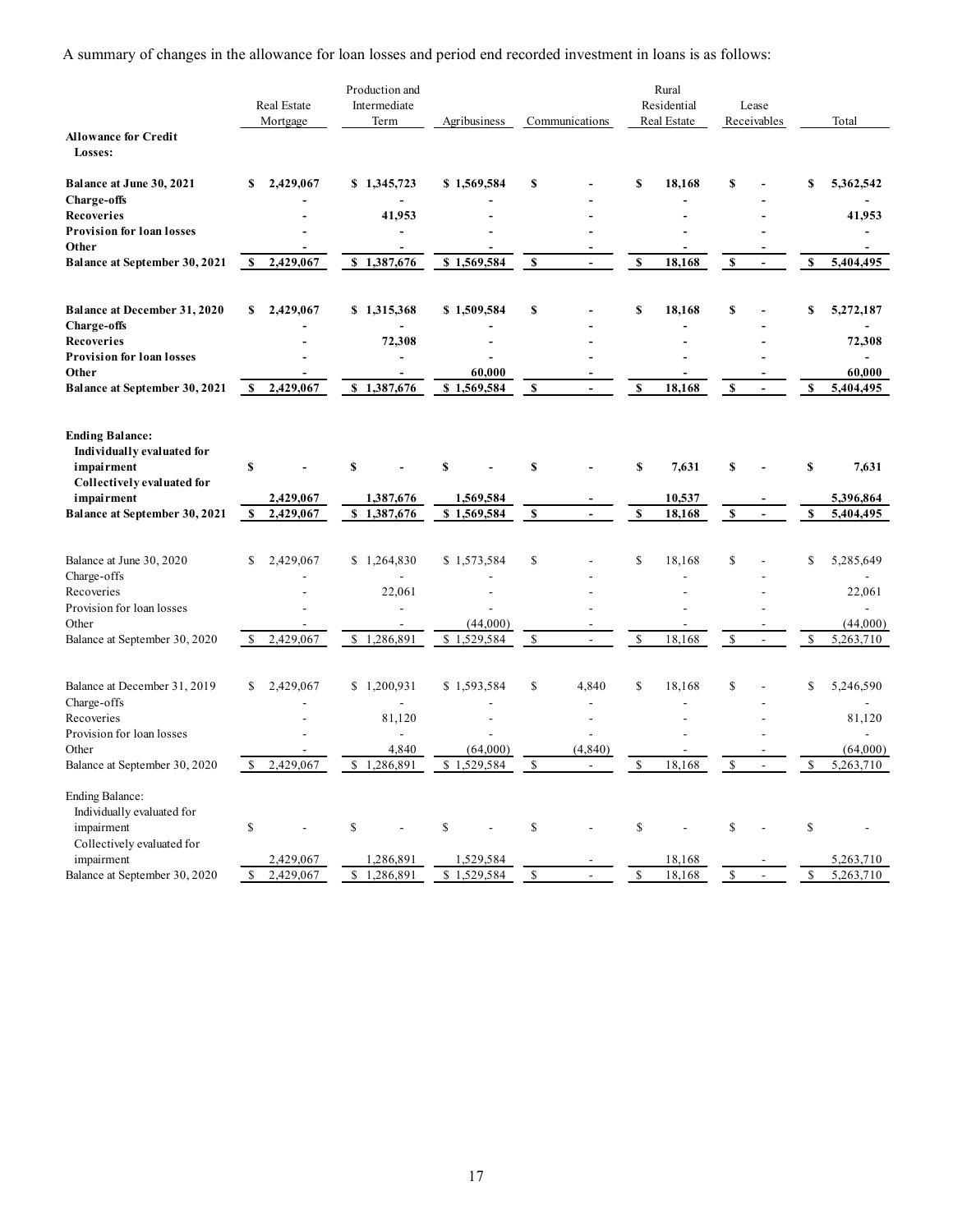|                                                      |                           | A summary of changes in the allowance for loan losses and period end recorded investment in loans is as follows: |                                         |                         |                          |              |                          |               |                                                      |              |                                                      |
|------------------------------------------------------|---------------------------|------------------------------------------------------------------------------------------------------------------|-----------------------------------------|-------------------------|--------------------------|--------------|--------------------------|---------------|------------------------------------------------------|--------------|------------------------------------------------------|
|                                                      | Real Estate               | Production and<br>Intermediate                                                                                   |                                         |                         |                          |              | Rural<br>Residential     |               | Lease                                                |              |                                                      |
|                                                      | Mortgage                  | Term                                                                                                             | Agribusiness                            |                         | Communications           |              | Real Estate              |               | Receivables                                          |              | Total                                                |
| <b>Allowance for Credit</b><br>Losses:               |                           |                                                                                                                  |                                         |                         |                          |              |                          |               |                                                      |              |                                                      |
| Balance at June 30, 2021                             | \$2,429,067               | \$1,345,723                                                                                                      | \$1,569,584                             | \$                      |                          | S            | 18,168                   | S             | $\blacksquare$                                       | S            | 5,362,542                                            |
| <b>Charge-offs</b><br>Recoveries                     | $\overline{\phantom{0}}$  | $\overline{\phantom{a}}$<br>41,953                                                                               | $\overline{\phantom{a}}$                |                         |                          |              | $\overline{\phantom{0}}$ |               | ٠<br>٠                                               |              | $\overline{\phantom{a}}$<br>41,953                   |
| <b>Provision for loan losses</b><br>Other            |                           | $\overline{\phantom{a}}$<br>$\overline{\phantom{a}}$                                                             |                                         |                         |                          |              |                          |               |                                                      |              | $\overline{\phantom{a}}$<br>$\overline{\phantom{a}}$ |
| Balance at September 30, 2021                        | 2,429,067<br>S.           | \$1,387,676                                                                                                      | \$1,569,584                             | $\mathbf{s}$            | $\sim$                   | $\mathbf{s}$ | 18,168                   | <b>S</b>      | $\overline{\phantom{a}}$                             | S            | 5,404,495                                            |
| Balance at December 31, 2020                         | \$2,429,067               | \$1,315,368                                                                                                      | \$1,509,584                             | \$                      |                          | S            | 18,168                   | S             | $\overline{\phantom{a}}$                             | £.           | 5,272,187                                            |
| <b>Charge-offs</b><br>Recoveries                     |                           | $\overline{\phantom{a}}$<br>72,308                                                                               | $\blacksquare$                          |                         |                          |              | $\overline{\phantom{0}}$ |               | $\overline{\phantom{0}}$<br>$\overline{\phantom{a}}$ |              | $\sim$<br>72,308                                     |
| <b>Provision for loan losses</b>                     |                           | -                                                                                                                | $\overline{\phantom{a}}$                |                         |                          |              |                          |               |                                                      |              | $\sim$                                               |
| Other<br>Balance at September 30, 2021               | \$2,429,067               | $\overline{\phantom{a}}$<br>\$1,387,676                                                                          | 60,000<br>\$1,569,584                   | - S                     | $\sim$                   | S            | 18,168                   | $\mathbf{s}$  | $\sim$                                               | $\mathbf{s}$ | 60,000<br>5,404,495                                  |
| <b>Ending Balance:</b>                               |                           |                                                                                                                  |                                         |                         |                          |              |                          |               |                                                      |              |                                                      |
| Individually evaluated for                           |                           |                                                                                                                  |                                         |                         |                          |              |                          |               |                                                      |              |                                                      |
| impairment<br>Collectively evaluated for             | $\mathbf{s}$              | <b>S</b>                                                                                                         | <b>S</b>                                | S                       |                          | $\mathbf{s}$ | 7,631                    | <b>S</b>      | $\overline{\phantom{a}}$                             | S            | 7,631                                                |
| impairment<br>Balance at September 30, 2021          | 2,429,067<br>\$2,429,067  | 1,387,676<br>\$1,387,676                                                                                         | 1,569,584<br>\$1,569,584                | $\overline{\mathbf{s}}$ | $\sim$                   | $\mathbf{s}$ | 10,537<br>18,168         | $\mathbf{s}$  | $\sim$ $-$                                           | $\mathbf{s}$ | 5,396,864<br>5,404,495                               |
|                                                      |                           |                                                                                                                  |                                         |                         |                          |              |                          |               |                                                      |              |                                                      |
| Balance at June 30, 2020<br>Charge-offs              | \$2,429,067<br>$\sim$     | \$1,264,830<br>$\sim$                                                                                            | \$1,573,584<br>$\overline{\phantom{a}}$ | $\mathbb{S}$            |                          | \$           | 18,168                   | $\mathbb{S}$  | $\overline{\phantom{a}}$<br>$\overline{\phantom{a}}$ | \$           | 5,285,649<br>$\sim$                                  |
| Recoveries                                           | $\sim$                    | 22,061                                                                                                           | $\overline{\phantom{a}}$                |                         |                          |              |                          |               | $\overline{\phantom{a}}$                             |              | 22,061                                               |
| Provision for loan losses<br>Other                   | $\overline{\phantom{a}}$  | $\overline{\phantom{a}}$<br>$\overline{\phantom{a}}$                                                             | $\overline{\phantom{a}}$<br>(44,000)    |                         | $\overline{\phantom{a}}$ |              | $\sim$                   |               | $\overline{\phantom{a}}$<br>$\overline{\phantom{a}}$ |              | $\sim$<br>(44,000)                                   |
| Balance at September 30, 2020                        | \$2,429,067               | \$1,286,891                                                                                                      | \$1,529,584                             | S.                      | $\sim$                   | \$           | 18,168                   | <sup>\$</sup> | $\sim$                                               | \$           | 5,263,710                                            |
| Balance at December 31, 2019                         | \$2,429,067               | \$1,200,931                                                                                                      | \$1,593,584                             | $\mathbb{S}$            | 4,840                    | \$           | 18,168                   | $\mathbb{S}$  | $\overline{\phantom{a}}$                             | \$           | 5,246,590                                            |
| Charge-offs<br>Recoveries                            | $\sim$<br>$\sim$          | $\sim$<br>81,120                                                                                                 | $\overline{\phantom{a}}$                |                         | $\overline{\phantom{a}}$ |              |                          |               | $\overline{\phantom{a}}$<br>$\overline{\phantom{a}}$ |              | $\sim$<br>81,120                                     |
| Provision for loan losses<br>Other                   |                           | $\overline{\phantom{a}}$<br>4,840                                                                                | $\overline{\phantom{a}}$<br>(64,000)    |                         | $\overline{\phantom{a}}$ |              |                          |               |                                                      |              | $\mathcal{L}_{\mathcal{A}}$<br>(64,000)              |
| Balance at September 30, 2020                        | $\frac{1}{2}$ , 2,429,067 | \$1,286,891                                                                                                      | \$1,529,584                             | $\mathbf{s}$            | (4, 840)<br>$\sim$       | <sup>S</sup> | 18,168                   | <sup>S</sup>  | $\sim$                                               | <sup>S</sup> | 5,263,710                                            |
| <b>Ending Balance:</b><br>Individually evaluated for |                           |                                                                                                                  |                                         |                         |                          |              |                          |               |                                                      |              |                                                      |
| impairment                                           | $\mathbb S$               | $\mathbb{S}$                                                                                                     | \$                                      | \$                      |                          | $\mathbb{S}$ |                          | $\mathbb S$   | $\overline{\phantom{a}}$                             | $\mathbb{S}$ | $\overline{\phantom{a}}$                             |
| Collectively evaluated for<br>impairment             | 2,429,067                 | 1,286,891                                                                                                        | 1,529,584                               |                         |                          |              | 18,168                   |               |                                                      |              | 5,263,710                                            |
| Balance at September 30, 2020                        | \$2,429,067               | \$1,286,891                                                                                                      | \$1,529,584                             | $\mathbf{s}$            | $\sim$                   | $\mathbb{S}$ | 18,168                   | $\mathbb{S}$  | $\sim$                                               | $\mathbb{S}$ | 5,263,710                                            |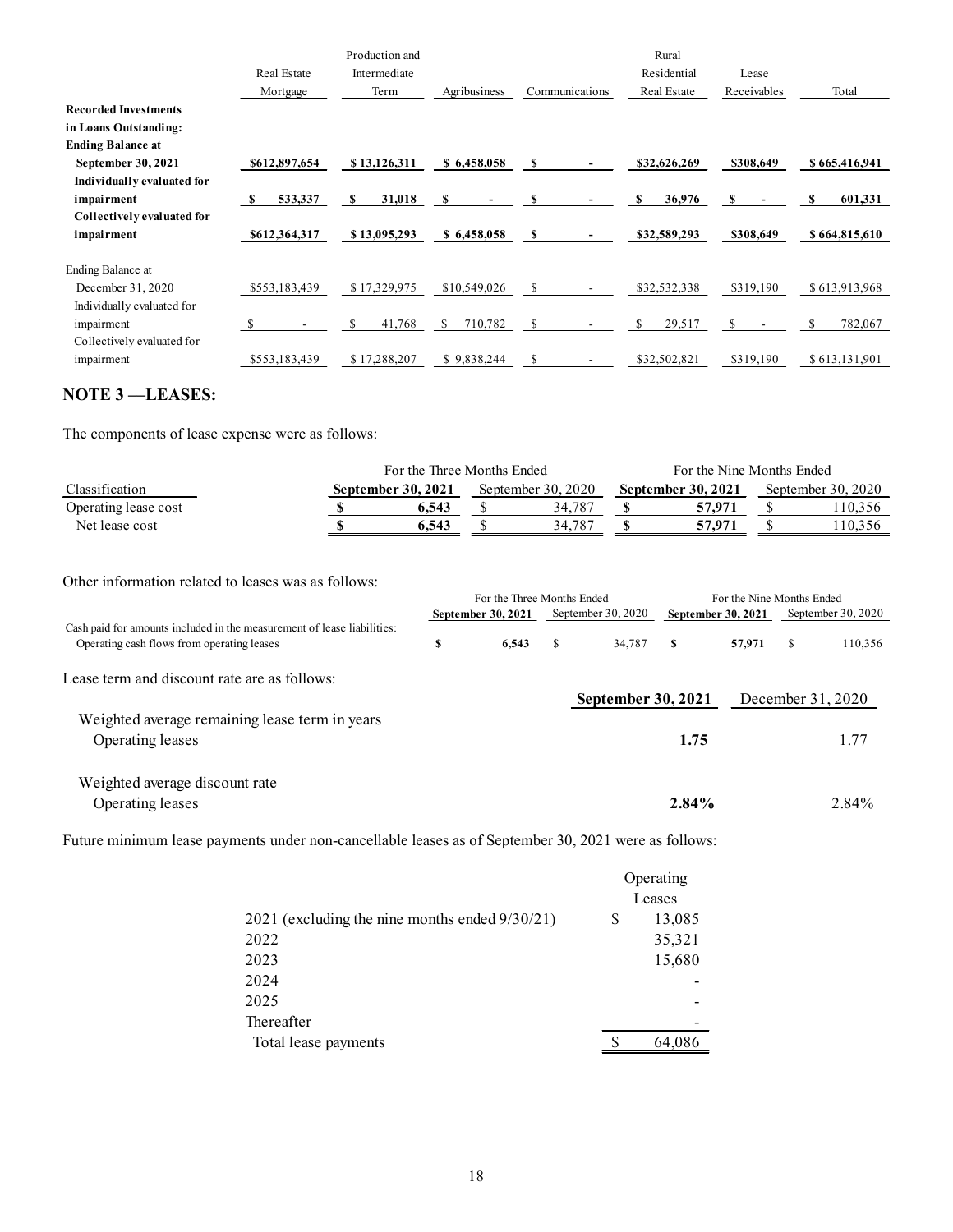|                                                                                                                       |                         | Production and<br>Intermediate |                                                                |                                  | Rural                      |                                                  |                    |
|-----------------------------------------------------------------------------------------------------------------------|-------------------------|--------------------------------|----------------------------------------------------------------|----------------------------------|----------------------------|--------------------------------------------------|--------------------|
|                                                                                                                       | Real Estate<br>Mortgage | Term                           | Agribusiness                                                   | Communications                   | Residential<br>Real Estate | Lease<br>Receivables                             | Total              |
| <b>Recorded Investments</b>                                                                                           |                         |                                |                                                                |                                  |                            |                                                  |                    |
| in Loans Outstanding:                                                                                                 |                         |                                |                                                                |                                  |                            |                                                  |                    |
| <b>Ending Balance at</b><br>September 30, 2021                                                                        | \$612,897,654           | \$13,126,311                   | \$6,458,058                                                    | -S                               | \$32,626,269               | \$308,649                                        | \$665,416,941      |
| Individually evaluated for                                                                                            |                         |                                |                                                                |                                  |                            |                                                  |                    |
| impairment                                                                                                            | 533,337<br>-SI          | 31,018<br>-SI                  | - \$<br>$\overline{\phantom{a}}$                               | S                                | S<br>36,976                | S<br>$\sim$ $-$                                  | 601,331<br>S       |
| Collectively evaluated for<br>impairment                                                                              | \$612,364,317           | \$13,095,293                   | \$6,458,058                                                    | - \$<br>$\overline{\phantom{a}}$ | \$32,589,293               | \$308,649                                        | \$664,815,610      |
| Ending Balance at                                                                                                     |                         |                                |                                                                |                                  |                            |                                                  |                    |
| December 31, 2020                                                                                                     | \$553,183,439           | \$17,329,975                   | \$10,549,026                                                   | \$<br>$\sim$                     | \$32,532,338               | \$319,190                                        | \$613,913,968      |
| Individually evaluated for                                                                                            | -8                      | 41,768<br>S                    | 710,782<br><sup>\$</sup>                                       | \$                               | 29,517<br>\$               | -S                                               | 782,067<br>\$      |
| impairment<br>Collectively evaluated for                                                                              |                         |                                |                                                                |                                  |                            | $\sim$ $-$                                       |                    |
| impairment                                                                                                            | \$553,183,439           | \$17,288,207                   | \$9,838,244                                                    | $\mathbf{s}$                     | \$32,502,821               | \$319,190                                        | \$613,131,901      |
| <b>NOTE 3-LEASES:</b>                                                                                                 |                         |                                |                                                                |                                  |                            |                                                  |                    |
|                                                                                                                       |                         |                                |                                                                |                                  |                            |                                                  |                    |
| The components of lease expense were as follows:                                                                      |                         |                                |                                                                |                                  |                            |                                                  |                    |
|                                                                                                                       |                         |                                | For the Three Months Ended                                     |                                  |                            | For the Nine Months Ended                        |                    |
| Classification                                                                                                        |                         | September 30, 2021             |                                                                | September 30, 2020               | September 30, 2021         |                                                  | September 30, 2020 |
| Operating lease cost<br>Net lease cost                                                                                |                         | -S<br>$\mathbf{s}$             | $\sqrt{\frac{2}{5}}$<br>6,543<br>$\sqrt{\frac{2}{5}}$<br>6,543 | 34,787<br>34,787                 | $\mathbf S$<br>$\mathbf S$ | 57,971<br>$\mathcal{S}$<br>$\mathbb S$<br>57,971 | 110,356<br>110,356 |
|                                                                                                                       |                         |                                |                                                                |                                  |                            |                                                  |                    |
|                                                                                                                       |                         |                                |                                                                |                                  |                            |                                                  |                    |
| Other information related to leases was as follows:                                                                   |                         |                                |                                                                | For the Three Months Ended       |                            | For the Nine Months Ended                        |                    |
|                                                                                                                       |                         |                                | September 30, 2021                                             | September 30, 2020               |                            | September 30, 2021                               | September 30, 2020 |
| Cash paid for amounts included in the measurement of lease liabilities:<br>Operating cash flows from operating leases |                         |                                | \$                                                             | 6,543<br>$\mathbf{s}$            | 34,787<br>$\mathbf{s}$     | 57,971<br>$\mathbf{s}$                           | 110,356            |
|                                                                                                                       |                         |                                |                                                                |                                  |                            |                                                  |                    |
| Lease term and discount rate are as follows:                                                                          |                         |                                |                                                                |                                  |                            |                                                  |                    |

## NOTE 3 ––LEASES:

|                      | For the Three Months Ended |                      | For the Nine Months Ended |                      |
|----------------------|----------------------------|----------------------|---------------------------|----------------------|
| Classification       | <b>September 30, 2021</b>  | September $30, 2020$ | September 30, 2021        | September $30, 2020$ |
| Operating lease cost | 6.543                      | 34.787               | 57,971                    | 110,356              |
| Net lease cost       | 6.543                      | 34,787               | 57,971                    | 110,356              |

| Net lease cost                                                                                                        | <b>S</b>                                       | 6,543 | $\mathbb{S}$               | 34,787 | $\mathbf S$               |              | 57,971<br>$\mathbb{S}$    |              | 110,356            |
|-----------------------------------------------------------------------------------------------------------------------|------------------------------------------------|-------|----------------------------|--------|---------------------------|--------------|---------------------------|--------------|--------------------|
| Other information related to leases was as follows:                                                                   |                                                |       | For the Three Months Ended |        |                           |              | For the Nine Months Ended |              |                    |
|                                                                                                                       |                                                |       | September 30, 2021         |        | September 30, 2020        |              | September 30, 2021        |              | September 30, 2020 |
| Cash paid for amounts included in the measurement of lease liabilities:<br>Operating cash flows from operating leases |                                                | \$    | 6,543                      | -S     | 34,787                    | $\mathbf{s}$ | 57,971                    | $\mathbf{s}$ | 110,356            |
| Lease term and discount rate are as follows:                                                                          |                                                |       |                            |        |                           |              |                           |              |                    |
|                                                                                                                       |                                                |       |                            |        | <b>September 30, 2021</b> |              |                           |              | December 31, 2020  |
| Weighted average remaining lease term in years<br>Operating leases                                                    |                                                |       |                            |        |                           | 1.75         |                           |              | 1.77               |
| Weighted average discount rate                                                                                        |                                                |       |                            |        |                           |              |                           |              |                    |
| Operating leases                                                                                                      |                                                |       |                            |        |                           | 2.84%        |                           |              | 2.84%              |
| Future minimum lease payments under non-cancellable leases as of September 30, 2021 were as follows:                  |                                                |       |                            |        |                           |              |                           |              |                    |
|                                                                                                                       |                                                |       |                            |        |                           | Operating    |                           |              |                    |
|                                                                                                                       |                                                |       |                            |        |                           | Leases       |                           |              |                    |
|                                                                                                                       | 2021 (excluding the nine months ended 9/30/21) |       |                            |        | \$                        | 13,085       |                           |              |                    |
|                                                                                                                       | 2022                                           |       |                            |        |                           | 35,321       |                           |              |                    |
|                                                                                                                       | 2023                                           |       |                            |        |                           | 15,680       |                           |              |                    |
|                                                                                                                       | 2024                                           |       |                            |        |                           |              |                           |              |                    |
|                                                                                                                       | 2025                                           |       |                            |        |                           |              |                           |              |                    |
|                                                                                                                       | Thereafter                                     |       |                            |        |                           |              |                           |              |                    |
|                                                                                                                       | Total lease payments                           |       |                            |        |                           | 64,086       |                           |              |                    |
|                                                                                                                       |                                                |       |                            |        |                           |              |                           |              |                    |
|                                                                                                                       |                                                |       |                            |        |                           |              |                           |              |                    |
|                                                                                                                       |                                                |       |                            |        |                           |              |                           |              |                    |
|                                                                                                                       |                                                |       |                            |        |                           |              |                           |              |                    |
|                                                                                                                       |                                                |       |                            |        |                           |              |                           |              |                    |

|                                                   |    | Operating                |
|---------------------------------------------------|----|--------------------------|
|                                                   |    | Leases                   |
| 2021 (excluding the nine months ended $9/30/21$ ) | \$ | 13,085                   |
| 2022                                              |    | 35,321                   |
| 2023                                              |    | 15,680                   |
| 2024                                              |    |                          |
| 2025                                              |    | $\overline{\phantom{0}}$ |
| Thereafter                                        |    |                          |
| Total lease payments                              | S  | 64,086                   |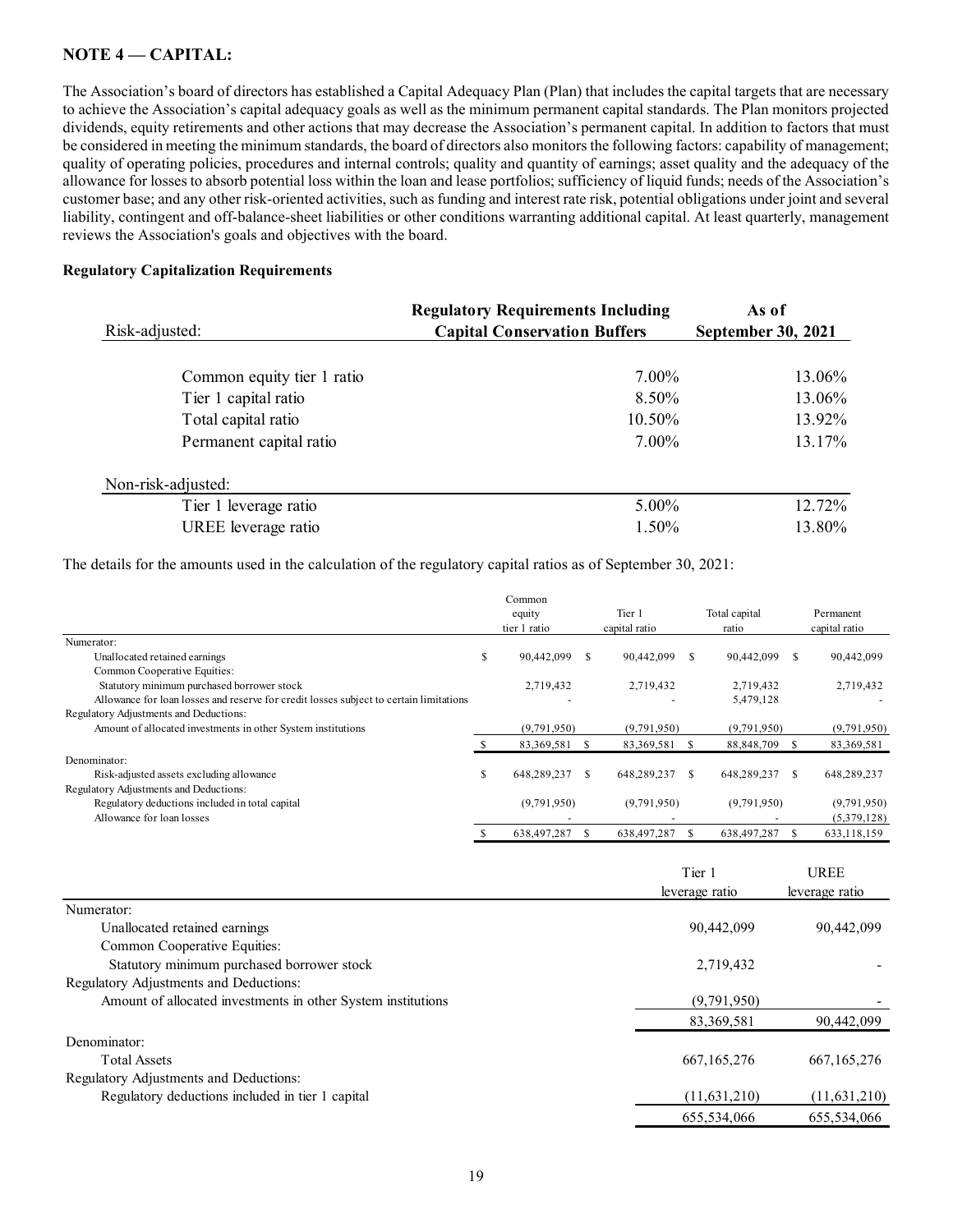## NOTE 4 – CAPITAL:

The Association's board of directors has established a Capital Adequacy Plan (Plan) that includes the capital targets that are necessary to achieve the Association's capital adequacy goals as well as the minimum permanent capital standards. The Plan monitors projected dividends, equity retirements and other actions that may decrease the Association's permanent capital. In addition to factors that must be considered in meeting the minimum standards, the board of directors also monitors the following factors: capability of management; quality of operating policies, procedures and internal controls; quality and quantity of earnings; asset quality and the adequacy of the allowance for losses to absorb potential loss within the loan and lease portfolios; sufficiency of liquid funds; needs of the Association's customer base; and any other risk-oriented activities, such as funding and interest rate risk, potential obligations under joint and several liability, contingent and off-balance-sheet liabilities or other conditions warranting additional capital. At least quarterly, management reviews the Association's goals and objectives with the board. All Adequacy Plan (Plan) that includes the capital targets that are necessary<br>
ell as the minimum permanent capital standards. The Plan monitors projected<br>
decrease the Association's permanent capital. In addition to facto **CAPITAL:**<br>  $\mathbf{A} \cdot \mathbf{C} \cdot \mathbf{A} \cdot \mathbf{C}$  and of directors has established a Capital Adequacy Plan (Plan) that includes the capital targets that are necessary<br>
sociation's capital adequacy goals as well as the minimum

## Regulatory Capitalization Requirements

| NOTE 4 - CAPITAL:                                                                                                                                                                                                                                                                                                                                                                                                                                                                                                                                                                                                                                                                                                                                                                                                                                                                                                                                                                                                                                                                                                                                                                                                                                                             |    |                                          |                              |                              |                             |
|-------------------------------------------------------------------------------------------------------------------------------------------------------------------------------------------------------------------------------------------------------------------------------------------------------------------------------------------------------------------------------------------------------------------------------------------------------------------------------------------------------------------------------------------------------------------------------------------------------------------------------------------------------------------------------------------------------------------------------------------------------------------------------------------------------------------------------------------------------------------------------------------------------------------------------------------------------------------------------------------------------------------------------------------------------------------------------------------------------------------------------------------------------------------------------------------------------------------------------------------------------------------------------|----|------------------------------------------|------------------------------|------------------------------|-----------------------------|
| The Association's board of directors has established a Capital Adequacy Plan (Plan) that includes the capital targets that are necessary<br>to achieve the Association's capital adequacy goals as well as the minimum permanent capital standards. The Plan monitors projected<br>dividends, equity retirements and other actions that may decrease the Association's permanent capital. In addition to factors that must<br>be considered in meeting the minimum standards, the board of directors also monitors the following factors: capability of management;<br>quality of operating policies, procedures and internal controls; quality and quantity of earnings; asset quality and the adequacy of the<br>allowance for losses to absorb potential loss within the loan and lease portfolios; sufficiency of liquid funds; needs of the Association's<br>customer base; and any other risk-oriented activities, such as funding and interest rate risk, potential obligations under joint and several<br>iability, contingent and off-balance-sheet liabilities or other conditions warranting additional capital. At least quarterly, management<br>reviews the Association's goals and objectives with the board.<br><b>Regulatory Capitalization Requirements</b> |    |                                          |                              |                              |                             |
|                                                                                                                                                                                                                                                                                                                                                                                                                                                                                                                                                                                                                                                                                                                                                                                                                                                                                                                                                                                                                                                                                                                                                                                                                                                                               |    | <b>Regulatory Requirements Including</b> |                              | As of                        |                             |
| Risk-adjusted:                                                                                                                                                                                                                                                                                                                                                                                                                                                                                                                                                                                                                                                                                                                                                                                                                                                                                                                                                                                                                                                                                                                                                                                                                                                                |    | <b>Capital Conservation Buffers</b>      |                              | <b>September 30, 2021</b>    |                             |
| Common equity tier 1 ratio                                                                                                                                                                                                                                                                                                                                                                                                                                                                                                                                                                                                                                                                                                                                                                                                                                                                                                                                                                                                                                                                                                                                                                                                                                                    |    |                                          | 7.00%                        |                              | 13.06%                      |
| Tier 1 capital ratio                                                                                                                                                                                                                                                                                                                                                                                                                                                                                                                                                                                                                                                                                                                                                                                                                                                                                                                                                                                                                                                                                                                                                                                                                                                          |    |                                          | 8.50%                        |                              | 13.06%                      |
| Total capital ratio                                                                                                                                                                                                                                                                                                                                                                                                                                                                                                                                                                                                                                                                                                                                                                                                                                                                                                                                                                                                                                                                                                                                                                                                                                                           |    |                                          | 10.50%                       |                              | 13.92%                      |
| Permanent capital ratio                                                                                                                                                                                                                                                                                                                                                                                                                                                                                                                                                                                                                                                                                                                                                                                                                                                                                                                                                                                                                                                                                                                                                                                                                                                       |    |                                          | 7.00%                        |                              | 13.17%                      |
| Non-risk-adjusted:                                                                                                                                                                                                                                                                                                                                                                                                                                                                                                                                                                                                                                                                                                                                                                                                                                                                                                                                                                                                                                                                                                                                                                                                                                                            |    |                                          |                              |                              |                             |
| Tier 1 leverage ratio                                                                                                                                                                                                                                                                                                                                                                                                                                                                                                                                                                                                                                                                                                                                                                                                                                                                                                                                                                                                                                                                                                                                                                                                                                                         |    |                                          | 5.00%                        |                              | 12.72%                      |
| UREE leverage ratio                                                                                                                                                                                                                                                                                                                                                                                                                                                                                                                                                                                                                                                                                                                                                                                                                                                                                                                                                                                                                                                                                                                                                                                                                                                           |    |                                          | 1.50%                        |                              | 13.80%                      |
| The details for the amounts used in the calculation of the regulatory capital ratios as of September 30, 2021:                                                                                                                                                                                                                                                                                                                                                                                                                                                                                                                                                                                                                                                                                                                                                                                                                                                                                                                                                                                                                                                                                                                                                                |    |                                          |                              |                              |                             |
|                                                                                                                                                                                                                                                                                                                                                                                                                                                                                                                                                                                                                                                                                                                                                                                                                                                                                                                                                                                                                                                                                                                                                                                                                                                                               |    | Common<br>equity<br>tier 1 ratio         | Tier 1<br>capital ratio      | Total capital<br>ratio       | Permanent<br>capital ratio  |
| Numerator:<br>Unallocated retained earnings                                                                                                                                                                                                                                                                                                                                                                                                                                                                                                                                                                                                                                                                                                                                                                                                                                                                                                                                                                                                                                                                                                                                                                                                                                   | S  | 90,442,099 \$                            | 90,442,099 \$                | 90,442,099 \$                | 90,442,099                  |
| Common Cooperative Equities:<br>Statutory minimum purchased borrower stock<br>Allowance for loan losses and reserve for credit losses subject to certain limitations                                                                                                                                                                                                                                                                                                                                                                                                                                                                                                                                                                                                                                                                                                                                                                                                                                                                                                                                                                                                                                                                                                          |    | 2,719,432                                | 2,719,432                    | 2,719,432<br>5,479,128       | 2,719,432                   |
| Regulatory Adjustments and Deductions:                                                                                                                                                                                                                                                                                                                                                                                                                                                                                                                                                                                                                                                                                                                                                                                                                                                                                                                                                                                                                                                                                                                                                                                                                                        |    |                                          |                              |                              |                             |
| Amount of allocated investments in other System institutions                                                                                                                                                                                                                                                                                                                                                                                                                                                                                                                                                                                                                                                                                                                                                                                                                                                                                                                                                                                                                                                                                                                                                                                                                  |    | (9,791,950)<br>83,369,581 \$             | (9,791,950)<br>83,369,581 \$ | (9,791,950)<br>88,848,709 \$ | (9,791,950)<br>83, 369, 581 |
| Denominator:                                                                                                                                                                                                                                                                                                                                                                                                                                                                                                                                                                                                                                                                                                                                                                                                                                                                                                                                                                                                                                                                                                                                                                                                                                                                  |    |                                          |                              |                              |                             |
| Risk-adjusted assets excluding allowance                                                                                                                                                                                                                                                                                                                                                                                                                                                                                                                                                                                                                                                                                                                                                                                                                                                                                                                                                                                                                                                                                                                                                                                                                                      | \$ | 648,289,237 \$                           | 648,289,237 \$               | 648,289,237 \$               | 648,289,237                 |
| Regulatory Adjustments and Deductions:                                                                                                                                                                                                                                                                                                                                                                                                                                                                                                                                                                                                                                                                                                                                                                                                                                                                                                                                                                                                                                                                                                                                                                                                                                        |    |                                          | (0.70105)                    |                              | (0.701)                     |

| Risk-adjusted:                                                                                                 |    | <b>Capital Conservation Buffers</b> |                         |              | <b>September 30, 2021</b> |      |                            |  |
|----------------------------------------------------------------------------------------------------------------|----|-------------------------------------|-------------------------|--------------|---------------------------|------|----------------------------|--|
| Common equity tier 1 ratio                                                                                     |    |                                     | 7.00%                   |              |                           |      | 13.06%                     |  |
| Tier 1 capital ratio                                                                                           |    |                                     | 8.50%                   |              |                           |      | 13.06%                     |  |
| Total capital ratio                                                                                            |    |                                     | 10.50%                  |              |                           |      | 13.92%                     |  |
| Permanent capital ratio                                                                                        |    |                                     | 7.00%                   |              |                           |      | 13.17%                     |  |
| Non-risk-adjusted:                                                                                             |    |                                     |                         |              |                           |      |                            |  |
| Tier 1 leverage ratio                                                                                          |    |                                     | 5.00%                   |              |                           |      | 12.72%                     |  |
| UREE leverage ratio                                                                                            |    |                                     | 1.50%                   |              |                           |      | 13.80%                     |  |
| The details for the amounts used in the calculation of the regulatory capital ratios as of September 30, 2021: |    |                                     |                         |              |                           |      |                            |  |
|                                                                                                                |    | Common<br>equity<br>tier 1 ratio    | Tier 1<br>capital ratio |              | Total capital<br>ratio    |      | Permanent<br>capital ratio |  |
| Numerator:                                                                                                     |    |                                     |                         |              |                           |      |                            |  |
| Unallocated retained earnings<br>Common Cooperative Equities:                                                  | -S | 90,442,099 \$                       | 90,442,099              | $\mathbf{s}$ | 90,442,099 \$             |      | 90,442,099                 |  |
| Statutory minimum purchased borrower stock                                                                     |    | 2,719,432                           | 2,719,432               |              | 2,719,432                 |      | 2,719,432                  |  |
| Allowance for loan losses and reserve for credit losses subject to certain limitations                         |    |                                     |                         |              | 5,479,128                 |      |                            |  |
| Regulatory Adjustments and Deductions:<br>Amount of allocated investments in other System institutions         |    | (9,791,950)                         | (9,791,950)             |              | (9,791,950)               |      | (9,791,950)                |  |
|                                                                                                                | \$ | 83,369,581 \$                       | 83,369,581 \$           |              | 88,848,709 \$             |      | 83,369,581                 |  |
| Denominator:                                                                                                   |    |                                     |                         |              |                           |      |                            |  |
| Risk-adjusted assets excluding allowance                                                                       | \$ | 648,289,237 \$                      | 648,289,237 \$          |              | 648,289,237 \$            |      | 648,289,237                |  |
| Regulatory Adjustments and Deductions:<br>Regulatory deductions included in total capital                      |    | (9,791,950)                         | (9,791,950)             |              | (9,791,950)               |      | (9,791,950)                |  |
| Allowance for loan losses                                                                                      |    |                                     |                         |              |                           |      | (5,379,128)                |  |
|                                                                                                                |    | 638,497,287 \$                      | 638,497,287 \$          |              | 638,497,287               | - \$ | 633,118,159                |  |
|                                                                                                                |    |                                     |                         | Tier 1       |                           |      | <b>UREE</b>                |  |
|                                                                                                                |    |                                     |                         |              | leverage ratio            |      | leverage ratio             |  |
| Numerator:                                                                                                     |    |                                     |                         |              |                           |      |                            |  |
| Unallocated retained earnings<br>Common Cooperative Equities:                                                  |    |                                     |                         |              | 90,442,099                |      | 90,442,099                 |  |
| Statutory minimum purchased borrower stock                                                                     |    |                                     |                         |              | 2,719,432                 |      |                            |  |
| Regulatory Adjustments and Deductions:                                                                         |    |                                     |                         |              |                           |      |                            |  |
| Amount of allocated investments in other System institutions                                                   |    |                                     |                         |              | (9,791,950)               |      |                            |  |
| Denominator:                                                                                                   |    |                                     |                         |              | 83,369,581                |      | 90,442,099                 |  |
| <b>Total Assets</b>                                                                                            |    |                                     |                         |              | 667, 165, 276             |      | 667, 165, 276              |  |
| Regulatory Adjustments and Deductions:                                                                         |    |                                     |                         |              |                           |      |                            |  |
| Regulatory deductions included in tier 1 capital                                                               |    |                                     |                         |              | (11, 631, 210)            |      | (11, 631, 210)             |  |

| Unallocated retained earnings<br>Common Cooperative Equities:                          | Ъ. | $90,442,099$ \$ |  | $90,442,099$ \$ |        | 90,442,099     | $\mathcal{P}$ | 90,442,099     |
|----------------------------------------------------------------------------------------|----|-----------------|--|-----------------|--------|----------------|---------------|----------------|
| Statutory minimum purchased borrower stock                                             |    | 2,719,432       |  | 2,719,432       |        | 2,719,432      |               | 2,719,432      |
| Allowance for loan losses and reserve for credit losses subject to certain limitations |    |                 |  |                 |        | 5,479,128      |               |                |
| Regulatory Adjustments and Deductions:                                                 |    |                 |  |                 |        |                |               |                |
| Amount of allocated investments in other System institutions                           |    | (9,791,950)     |  | (9,791,950)     |        | (9,791,950)    |               | (9,791,950)    |
|                                                                                        |    | 83,369,581 \$   |  | 83,369,581 \$   |        | 88,848,709 \$  |               | 83,369,581     |
| Denominator:                                                                           |    |                 |  |                 |        |                |               |                |
| Risk-adjusted assets excluding allowance<br>Regulatory Adjustments and Deductions:     |    | 648,289,237 \$  |  | 648,289,237 \$  |        | 648,289,237 \$ |               | 648,289,237    |
| Regulatory deductions included in total capital                                        |    | (9,791,950)     |  | (9,791,950)     |        | (9,791,950)    |               | (9,791,950)    |
| Allowance for loan losses                                                              |    |                 |  |                 |        |                |               | (5,379,128)    |
|                                                                                        |    | 638,497,287 \$  |  | 638,497,287 \$  |        | 638,497,287 \$ |               | 633,118,159    |
|                                                                                        |    |                 |  |                 | Tier 1 |                |               | <b>UREE</b>    |
|                                                                                        |    |                 |  |                 |        | leverage ratio |               | leverage ratio |
| Numerator:                                                                             |    |                 |  |                 |        |                |               |                |
| Unallocated retained earnings                                                          |    |                 |  |                 |        | 90,442,099     |               | 90,442,099     |
| Common Cooperative Equities:                                                           |    |                 |  |                 |        |                |               |                |
| Statutory minimum purchased borrower stock                                             |    |                 |  |                 |        | 2,719,432      |               |                |
| Regulatory Adjustments and Deductions:                                                 |    |                 |  |                 |        |                |               |                |
| Amount of allocated investments in other System institutions                           |    |                 |  |                 |        | (9,791,950)    |               |                |
|                                                                                        |    |                 |  |                 |        |                |               |                |
|                                                                                        |    |                 |  |                 |        | 83,369,581     |               | 90,442,099     |
| Denominator:                                                                           |    |                 |  |                 |        |                |               |                |
| <b>Total Assets</b>                                                                    |    |                 |  |                 |        | 667, 165, 276  |               | 667, 165, 276  |
| Regulatory Adjustments and Deductions:                                                 |    |                 |  |                 |        |                |               |                |
| Regulatory deductions included in tier 1 capital                                       |    |                 |  |                 |        | (11, 631, 210) |               | (11, 631, 210) |
|                                                                                        |    |                 |  |                 |        | 655,534,066    |               | 655,534,066    |
|                                                                                        |    |                 |  |                 |        |                |               |                |
|                                                                                        |    |                 |  |                 |        |                |               |                |
|                                                                                        | 19 |                 |  |                 |        |                |               |                |
|                                                                                        |    |                 |  |                 |        |                |               |                |
|                                                                                        |    |                 |  |                 |        |                |               |                |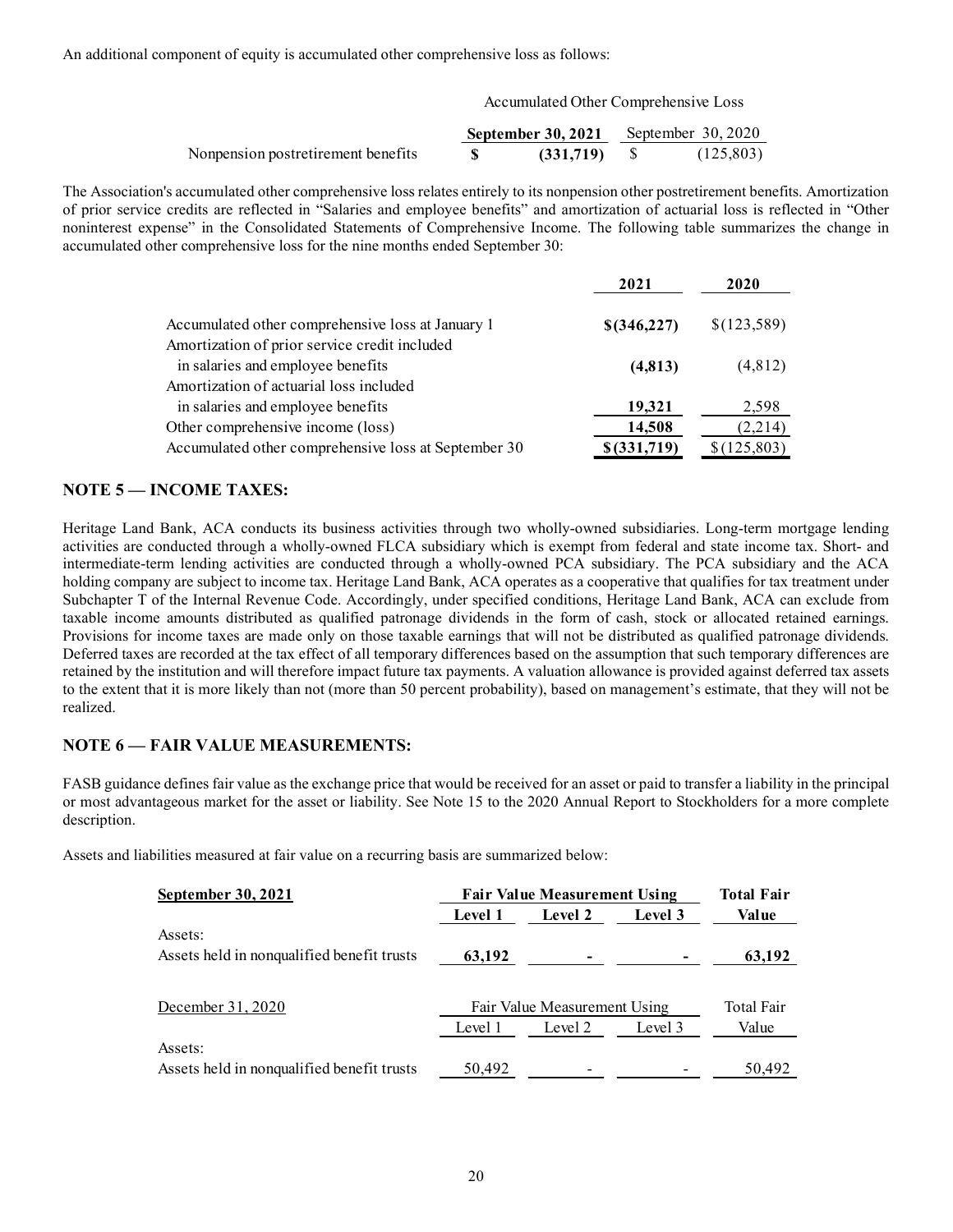An additional component of equity is accumulated other comprehensive loss as follows:

|                                    | <b>September 30, 2021</b> September 30, 2020 |            |
|------------------------------------|----------------------------------------------|------------|
| Nonpension postretirement benefits | (331,719)                                    | (125, 803) |

The Association's accumulated other comprehensive loss relates entirely to its nonpension other postretirement benefits. Amortization of prior service credits are reflected in "Salaries and employee benefits" and amortization of actuarial loss is reflected in "Other noninterest expense" in the Consolidated Statements of Comprehensive Income. The following table summarizes the change in accumulated other comprehensive loss for the nine months ended September 30:

| omponent of equity is accumulated other comprehensive loss as follows:                                                                                                                                                                                                                              |                    |                                      |                     |  |
|-----------------------------------------------------------------------------------------------------------------------------------------------------------------------------------------------------------------------------------------------------------------------------------------------------|--------------------|--------------------------------------|---------------------|--|
|                                                                                                                                                                                                                                                                                                     |                    | Accumulated Other Comprehensive Loss |                     |  |
|                                                                                                                                                                                                                                                                                                     | September 30, 2021 |                                      | September $30,2020$ |  |
| Nonpension postretirement benefits                                                                                                                                                                                                                                                                  |                    | \$<br>(331,719)                      | (125, 803)          |  |
| 's accumulated other comprehensive loss relates entirely to its nonpension other postretirement benefits. Amortization                                                                                                                                                                              |                    |                                      |                     |  |
| credits are reflected in "Salaries and employee benefits" and amortization of actuarial loss is reflected in "Other<br>ense" in the Consolidated Statements of Comprehensive Income. The following table summarizes the change in<br>ner comprehensive loss for the nine months ended September 30: |                    | 2021                                 | 2020                |  |
| Accumulated other comprehensive loss at January 1                                                                                                                                                                                                                                                   |                    | \$(346,227)                          | \$(123,589)         |  |
| Amortization of prior service credit included<br>in salaries and employee benefits                                                                                                                                                                                                                  |                    | (4, 813)                             | (4,812)             |  |
| Amortization of actuarial loss included<br>in salaries and employee benefits                                                                                                                                                                                                                        |                    |                                      |                     |  |
| Other comprehensive income (loss)                                                                                                                                                                                                                                                                   |                    | 19,321<br>14,508                     | 2,598<br>(2,214)    |  |

## NOTE 5 — INCOME TAXES:

Heritage Land Bank, ACA conducts its business activities through two wholly-owned subsidiaries. Long-term mortgage lending activities are conducted through a wholly-owned FLCA subsidiary which is exempt from federal and state income tax. Short- and intermediate-term lending activities are conducted through a wholly-owned PCA subsidiary. The PCA subsidiary and the ACA holding company are subject to income tax. Heritage Land Bank, ACA operates as a cooperative that qualifies for tax treatment under Subchapter T of the Internal Revenue Code. Accordingly, under specified conditions, Heritage Land Bank, ACA can exclude from taxable income amounts distributed as qualified patronage dividends in the form of cash, stock or allocated retained earnings. Provisions for income taxes are made only on those taxable earnings that will not be distributed as qualified patronage dividends. Deferred taxes are recorded at the tax effect of all temporary differences based on the assumption that such temporary differences are retained by the institution and will therefore impact future tax payments. A valuation allowance is provided against deferred tax assets to the extent that it is more likely than not (more than 50 percent probability), based on management's estimate, that they will not be realized.

## NOTE 6 — FAIR VALUE MEASUREMENTS:

FASB guidance defines fair value as the exchange price that would be received for an asset or paid to transfer a liability in the principal or most advantageous market for the asset or liability. See Note 15 to the 2020 Annual Report to Stockholders for a more complete description.

Assets and liabilities measured at fair value on a recurring basis are summarized below:

| September 30, 2021                         |                | <b>Fair Value Measurement Using</b> |         | <b>Total Fair</b> |
|--------------------------------------------|----------------|-------------------------------------|---------|-------------------|
|                                            | <b>Level 1</b> | Level 2                             | Level 3 | Val ue            |
| Assets:                                    |                |                                     |         |                   |
| Assets held in nonqualified benefit trusts | 63,192         |                                     |         | 63,192            |
|                                            |                |                                     |         |                   |
| December 31, 2020                          |                | Fair Value Measurement Using        |         | Total Fair        |
|                                            | Level 1        | Level 2                             | Level 3 | Value             |
| Assets:                                    |                |                                     |         |                   |
| Assets held in nonqualified benefit trusts | 50.492         |                                     |         | 50.492            |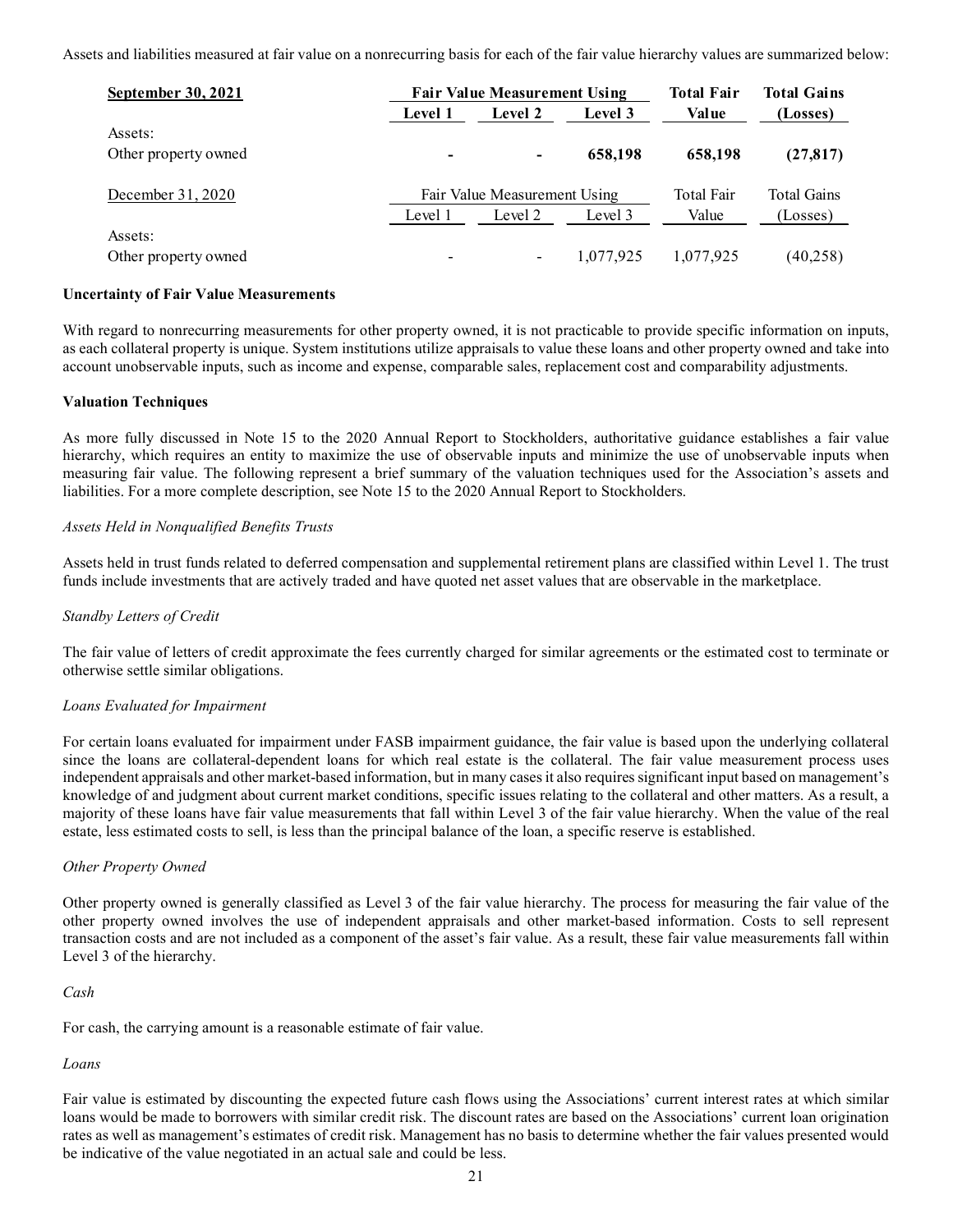| and liabilities measured at fair value on a nonrecurring basis for each of the fair value hierarchy values are summarized below: |         |                                                |         |                                   |                                |
|----------------------------------------------------------------------------------------------------------------------------------|---------|------------------------------------------------|---------|-----------------------------------|--------------------------------|
|                                                                                                                                  |         |                                                |         |                                   |                                |
| September 30, 2021                                                                                                               | Level 1 | <b>Fair Value Measurement Using</b><br>Level 2 | Level 3 | <b>Total Fair</b><br><b>Value</b> | <b>Total Gains</b><br>(Losses) |
| Assets:                                                                                                                          |         |                                                |         |                                   |                                |
| Other property owned                                                                                                             |         | $\overline{\phantom{0}}$                       | 658,198 | 658,198                           | (27, 817)                      |
| December 31, 2020                                                                                                                |         | Fair Value Measurement Using                   |         | Total Fair                        |                                |
|                                                                                                                                  | Level 1 | Level 2                                        | Level 3 | Value                             | (Losses)                       |
| Assets:                                                                                                                          |         |                                                |         |                                   | <b>Total Gains</b>             |

#### Uncertainty of Fair Value Measurements

With regard to nonrecurring measurements for other property owned, it is not practicable to provide specific information on inputs, as each collateral property is unique. System institutions utilize appraisals to value these loans and other property owned and take into account unobservable inputs, such as income and expense, comparable sales, replacement cost and comparability adjustments.

#### Valuation Techniques

As more fully discussed in Note 15 to the 2020 Annual Report to Stockholders, authoritative guidance establishes a fair value hierarchy, which requires an entity to maximize the use of observable inputs and minimize the use of unobservable inputs when measuring fair value. The following represent a brief summary of the valuation techniques used for the Association's assets and liabilities. For a more complete description, see Note 15 to the 2020 Annual Report to Stockholders.

## Assets Held in Nonqualified Benefits Trusts

Assets held in trust funds related to deferred compensation and supplemental retirement plans are classified within Level 1. The trust funds include investments that are actively traded and have quoted net asset values that are observable in the marketplace.

#### Standby Letters of Credit

The fair value of letters of credit approximate the fees currently charged for similar agreements or the estimated cost to terminate or otherwise settle similar obligations.

#### Loans Evaluated for Impairment

For certain loans evaluated for impairment under FASB impairment guidance, the fair value is based upon the underlying collateral since the loans are collateral-dependent loans for which real estate is the collateral. The fair value measurement process uses independent appraisals and other market-based information, but in many cases it also requires significant input based on management's knowledge of and judgment about current market conditions, specific issues relating to the collateral and other matters. As a result, a majority of these loans have fair value measurements that fall within Level 3 of the fair value hierarchy. When the value of the real estate, less estimated costs to sell, is less than the principal balance of the loan, a specific reserve is established.

#### Other Property Owned

Other property owned is generally classified as Level 3 of the fair value hierarchy. The process for measuring the fair value of the other property owned involves the use of independent appraisals and other market-based information. Costs to sell represent transaction costs and are not included as a component of the asset's fair value. As a result, these fair value measurements fall within Level 3 of the hierarchy.

#### Cash

For cash, the carrying amount is a reasonable estimate of fair value.

#### Loans

Fair value is estimated by discounting the expected future cash flows using the Associations' current interest rates at which similar loans would be made to borrowers with similar credit risk. The discount rates are based on the Associations' current loan origination rates as well as management's estimates of credit risk. Management has no basis to determine whether the fair values presented would be indicative of the value negotiated in an actual sale and could be less.